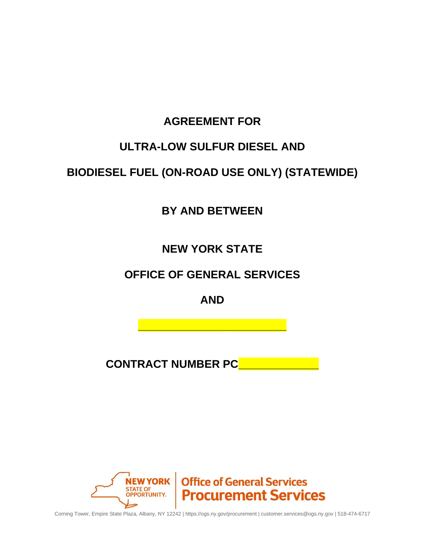# **AGREEMENT FOR**

# **ULTRA-LOW SULFUR DIESEL AND**

# **BIODIESEL FUEL (ON-ROAD USE ONLY) (STATEWIDE)**

**BY AND BETWEEN**

**NEW YORK STATE**

# **OFFICE OF GENERAL SERVICES**

**AND**

**\_\_\_\_\_\_\_\_\_\_\_\_\_\_\_\_\_\_\_\_\_\_\_\_**

**CONTRACT NUMBER PCL** 



Corning Tower, Empire State Plaza, Albany, NY 12242 | https://ogs.ny.gov/procurement | customer.services@ogs.ny.gov | 518-474-6717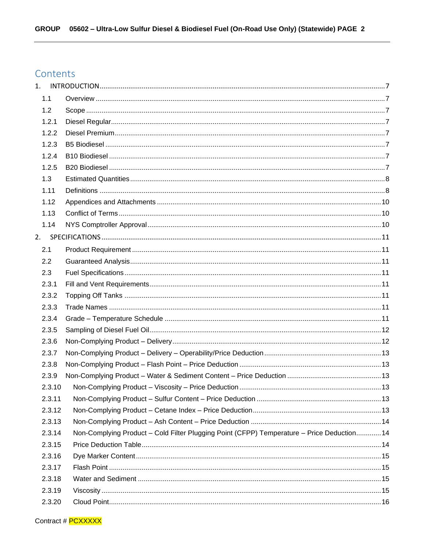## Contents

| 1.     |                                                                                            |  |
|--------|--------------------------------------------------------------------------------------------|--|
| 1.1    |                                                                                            |  |
| 1.2    |                                                                                            |  |
| 1.2.1  |                                                                                            |  |
| 1.2.2  |                                                                                            |  |
| 1.2.3  |                                                                                            |  |
| 1.2.4  |                                                                                            |  |
| 1.2.5  |                                                                                            |  |
| 1.3    |                                                                                            |  |
| 1.11   |                                                                                            |  |
| 1.12   |                                                                                            |  |
| 1.13   |                                                                                            |  |
| 1.14   |                                                                                            |  |
|        |                                                                                            |  |
| 2.1    |                                                                                            |  |
| 2.2    |                                                                                            |  |
| 2.3    |                                                                                            |  |
| 2.3.1  |                                                                                            |  |
| 2.3.2  |                                                                                            |  |
| 2.3.3  |                                                                                            |  |
| 2.3.4  |                                                                                            |  |
| 2.3.5  |                                                                                            |  |
| 2.3.6  |                                                                                            |  |
| 2.3.7  |                                                                                            |  |
| 2.3.8  |                                                                                            |  |
| 2.3.9  |                                                                                            |  |
| 2.3.10 |                                                                                            |  |
| 2.3.11 |                                                                                            |  |
| 2.3.12 |                                                                                            |  |
| 2.3.13 |                                                                                            |  |
| 2.3.14 | Non-Complying Product - Cold Filter Plugging Point (CFPP) Temperature - Price Deduction 14 |  |
| 2.3.15 |                                                                                            |  |
| 2.3.16 |                                                                                            |  |
| 2.3.17 |                                                                                            |  |
| 2.3.18 |                                                                                            |  |
| 2.3.19 |                                                                                            |  |
| 2.3.20 |                                                                                            |  |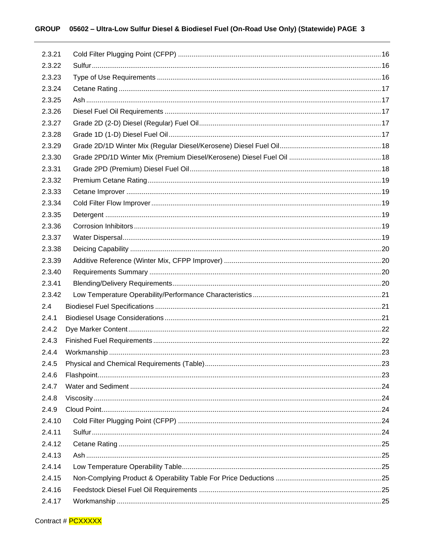| 2.3.21 |  |
|--------|--|
| 2.3.22 |  |
| 2.3.23 |  |
| 2.3.24 |  |
| 2.3.25 |  |
| 2.3.26 |  |
| 2.3.27 |  |
| 2.3.28 |  |
| 2.3.29 |  |
| 2.3.30 |  |
| 2.3.31 |  |
| 2.3.32 |  |
| 2.3.33 |  |
| 2.3.34 |  |
| 2.3.35 |  |
| 2.3.36 |  |
| 2.3.37 |  |
| 2.3.38 |  |
| 2.3.39 |  |
| 2.3.40 |  |
| 2.3.41 |  |
| 2.3.42 |  |
| 2.4    |  |
| 2.4.1  |  |
| 2.4.2  |  |
| 2.4.3  |  |
| 2.4.4  |  |
| 2.4.5  |  |
| 2.4.6  |  |
| 2.4.7  |  |
| 2.4.8  |  |
| 2.4.9  |  |
| 2.4.10 |  |
| 2.4.11 |  |
| 2.4.12 |  |
| 2.4.13 |  |
| 2.4.14 |  |
| 2.4.15 |  |
| 2.4.16 |  |
| 2.4.17 |  |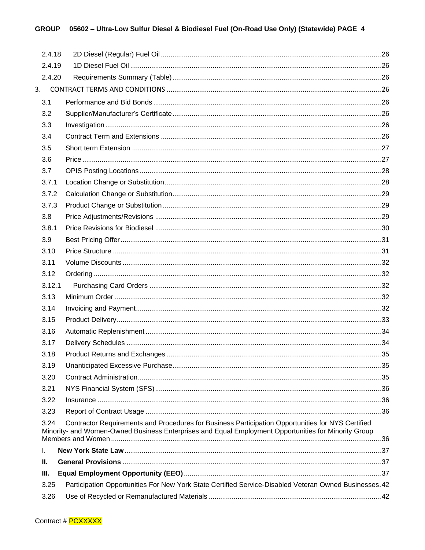### GROUP 05602 - Ultra-Low Sulfur Diesel & Biodiesel Fuel (On-Road Use Only) (Statewide) PAGE 4

| 2.4.18 |                                                                                                                                                                                                           |  |
|--------|-----------------------------------------------------------------------------------------------------------------------------------------------------------------------------------------------------------|--|
| 2.4.19 |                                                                                                                                                                                                           |  |
| 2.4.20 |                                                                                                                                                                                                           |  |
|        |                                                                                                                                                                                                           |  |
| 3.1    |                                                                                                                                                                                                           |  |
| 3.2    |                                                                                                                                                                                                           |  |
| 3.3    |                                                                                                                                                                                                           |  |
| 3.4    |                                                                                                                                                                                                           |  |
| 3.5    |                                                                                                                                                                                                           |  |
| 3.6    |                                                                                                                                                                                                           |  |
| 3.7    |                                                                                                                                                                                                           |  |
| 3.7.1  |                                                                                                                                                                                                           |  |
| 3.7.2  |                                                                                                                                                                                                           |  |
| 3.7.3  |                                                                                                                                                                                                           |  |
| 3.8    |                                                                                                                                                                                                           |  |
| 3.8.1  |                                                                                                                                                                                                           |  |
| 3.9    |                                                                                                                                                                                                           |  |
| 3.10   |                                                                                                                                                                                                           |  |
| 3.11   |                                                                                                                                                                                                           |  |
| 3.12   |                                                                                                                                                                                                           |  |
| 3.12.1 |                                                                                                                                                                                                           |  |
| 3.13   |                                                                                                                                                                                                           |  |
| 3.14   |                                                                                                                                                                                                           |  |
| 3.15   |                                                                                                                                                                                                           |  |
| 3.16   |                                                                                                                                                                                                           |  |
| 3.17   |                                                                                                                                                                                                           |  |
| 3.18   |                                                                                                                                                                                                           |  |
| 3.19   |                                                                                                                                                                                                           |  |
| 3.20   |                                                                                                                                                                                                           |  |
| 3.21   |                                                                                                                                                                                                           |  |
| 3.22   |                                                                                                                                                                                                           |  |
| 3.23   |                                                                                                                                                                                                           |  |
| 3.24   | Contractor Requirements and Procedures for Business Participation Opportunities for NYS Certified<br>Minority- and Women-Owned Business Enterprises and Equal Employment Opportunities for Minority Group |  |
| I.     |                                                                                                                                                                                                           |  |
| Ш.     |                                                                                                                                                                                                           |  |
| III.   |                                                                                                                                                                                                           |  |
| 3.25   | Participation Opportunities For New York State Certified Service-Disabled Veteran Owned Businesses. 42                                                                                                    |  |
| 3.26   |                                                                                                                                                                                                           |  |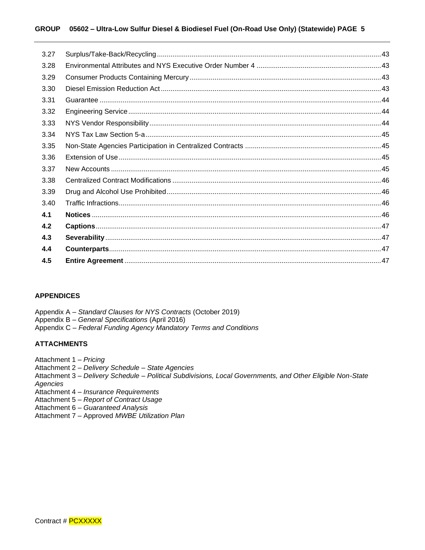#### **GROUP 05602 – Ultra-Low Sulfur Diesel & Biodiesel Fuel (On-Road Use Only) (Statewide) PAGE 5**

| 3.27 |  |
|------|--|
| 3.28 |  |
| 3.29 |  |
| 3.30 |  |
| 3.31 |  |
| 3.32 |  |
| 3.33 |  |
| 3.34 |  |
| 3.35 |  |
| 3.36 |  |
| 3.37 |  |
| 3.38 |  |
| 3.39 |  |
| 3.40 |  |
| 4.1  |  |
| 4.2  |  |
| 4.3  |  |
| 4.4  |  |
| 4.5  |  |

#### **APPENDICES**

Appendix A – *Standard Clauses for NYS Contracts* (October 2019)

Appendix B – *General Specifications* (April 2016)

Appendix C – *Federal Funding Agency Mandatory Terms and Conditions*

#### **ATTACHMENTS**

- Attachment 1 *Pricing*
- Attachment 2 *Delivery Schedule – State Agencies*
- Attachment 3 *Delivery Schedule – Political Subdivisions, Local Governments, and Other Eligible Non-State Agencies*
- Attachment 4 *Insurance Requirements*
- Attachment 5 *Report of Contract Usage*
- Attachment 6 *Guaranteed Analysis*
- Attachment 7 Approved *MWBE Utilization Plan*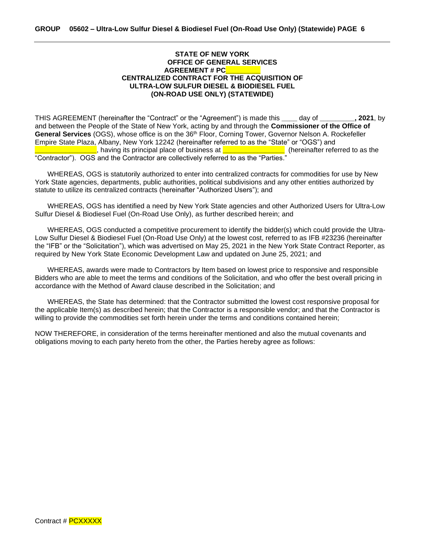#### **STATE OF NEW YORK OFFICE OF GENERAL SERVICES AGREEMENT # PC\_\_\_\_\_\_\_\_\_ CENTRALIZED CONTRACT FOR THE ACQUISITION OF ULTRA-LOW SULFUR DIESEL & BIODIESEL FUEL (ON-ROAD USE ONLY) (STATEWIDE)**

THIS AGREEMENT (hereinafter the "Contract" or the "Agreement") is made this **\_\_\_\_** day of **\_\_\_\_\_\_\_\_\_, 2021**, by and between the People of the State of New York, acting by and through the **Commissioner of the Office of**  General Services (OGS), whose office is on the 36<sup>th</sup> Floor, Corning Tower, Governor Nelson A. Rockefeller Empire State Plaza, Albany, New York 12242 (hereinafter referred to as the "State" or "OGS") and **\_\_\_\_\_\_\_\_\_\_\_\_\_\_\_\_**, having its principal place of business at **\_\_\_\_\_\_\_\_\_\_\_\_\_\_\_\_** (hereinafter referred to as the "Contractor"). OGS and the Contractor are collectively referred to as the "Parties."

WHEREAS, OGS is statutorily authorized to enter into centralized contracts for commodities for use by New York State agencies, departments, public authorities, political subdivisions and any other entities authorized by statute to utilize its centralized contracts (hereinafter "Authorized Users"); and

WHEREAS, OGS has identified a need by New York State agencies and other Authorized Users for Ultra-Low Sulfur Diesel & Biodiesel Fuel (On-Road Use Only), as further described herein; and

WHEREAS, OGS conducted a competitive procurement to identify the bidder(s) which could provide the Ultra-Low Sulfur Diesel & Biodiesel Fuel (On-Road Use Only) at the lowest cost, referred to as IFB #23236 (hereinafter the "IFB" or the "Solicitation"), which was advertised on May 25, 2021 in the New York State Contract Reporter, as required by New York State Economic Development Law and updated on June 25, 2021; and

WHEREAS, awards were made to Contractors by Item based on lowest price to responsive and responsible Bidders who are able to meet the terms and conditions of the Solicitation, and who offer the best overall pricing in accordance with the Method of Award clause described in the Solicitation; and

WHEREAS, the State has determined: that the Contractor submitted the lowest cost responsive proposal for the applicable Item(s) as described herein; that the Contractor is a responsible vendor; and that the Contractor is willing to provide the commodities set forth herein under the terms and conditions contained herein;

NOW THEREFORE, in consideration of the terms hereinafter mentioned and also the mutual covenants and obligations moving to each party hereto from the other, the Parties hereby agree as follows: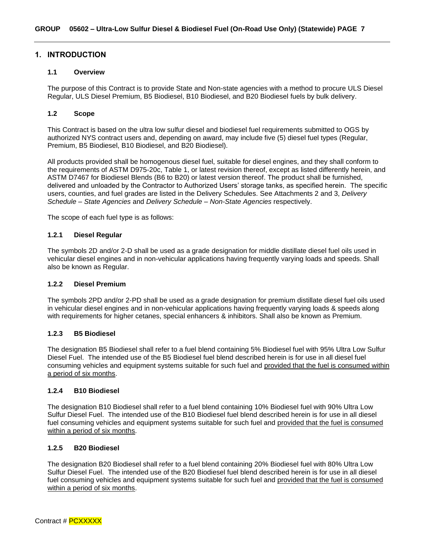#### <span id="page-6-0"></span>**1. INTRODUCTION**

#### <span id="page-6-1"></span>**1.1 Overview**

The purpose of this Contract is to provide State and Non-state agencies with a method to procure ULS Diesel Regular, ULS Diesel Premium, B5 Biodiesel, B10 Biodiesel, and B20 Biodiesel fuels by bulk delivery.

#### <span id="page-6-2"></span>**1.2 Scope**

This Contract is based on the ultra low sulfur diesel and biodiesel fuel requirements submitted to OGS by authorized NYS contract users and, depending on award, may include five (5) diesel fuel types (Regular, Premium, B5 Biodiesel, B10 Biodiesel, and B20 Biodiesel).

All products provided shall be homogenous diesel fuel, suitable for diesel engines, and they shall conform to the requirements of ASTM D975-20c, Table 1, or latest revision thereof, except as listed differently herein, and ASTM D7467 for Biodiesel Blends (B6 to B20) or latest version thereof. The product shall be furnished, delivered and unloaded by the Contractor to Authorized Users' storage tanks, as specified herein. The specific users, counties, and fuel grades are listed in the Delivery Schedules. See Attachments 2 and 3, *Delivery Schedule – State Agencies* and *Delivery Schedule – Non-State Agencies* respectively.

The scope of each fuel type is as follows:

#### <span id="page-6-3"></span>**1.2.1 Diesel Regular**

The symbols 2D and/or 2-D shall be used as a grade designation for middle distillate diesel fuel oils used in vehicular diesel engines and in non-vehicular applications having frequently varying loads and speeds. Shall also be known as Regular.

#### <span id="page-6-4"></span>**1.2.2 Diesel Premium**

The symbols 2PD and/or 2-PD shall be used as a grade designation for premium distillate diesel fuel oils used in vehicular diesel engines and in non-vehicular applications having frequently varying loads & speeds along with requirements for higher cetanes, special enhancers & inhibitors. Shall also be known as Premium.

#### <span id="page-6-5"></span>**1.2.3 B5 Biodiesel**

The designation B5 Biodiesel shall refer to a fuel blend containing 5% Biodiesel fuel with 95% Ultra Low Sulfur Diesel Fuel. The intended use of the B5 Biodiesel fuel blend described herein is for use in all diesel fuel consuming vehicles and equipment systems suitable for such fuel and provided that the fuel is consumed within a period of six months.

#### <span id="page-6-6"></span>**1.2.4 B10 Biodiesel**

The designation B10 Biodiesel shall refer to a fuel blend containing 10% Biodiesel fuel with 90% Ultra Low Sulfur Diesel Fuel. The intended use of the B10 Biodiesel fuel blend described herein is for use in all diesel fuel consuming vehicles and equipment systems suitable for such fuel and provided that the fuel is consumed within a period of six months.

#### <span id="page-6-7"></span>**1.2.5 B20 Biodiesel**

The designation B20 Biodiesel shall refer to a fuel blend containing 20% Biodiesel fuel with 80% Ultra Low Sulfur Diesel Fuel. The intended use of the B20 Biodiesel fuel blend described herein is for use in all diesel fuel consuming vehicles and equipment systems suitable for such fuel and provided that the fuel is consumed within a period of six months.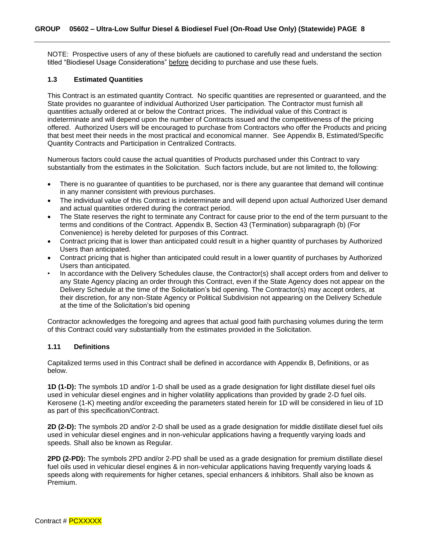NOTE: Prospective users of any of these biofuels are cautioned to carefully read and understand the section titled "Biodiesel Usage Considerations" before deciding to purchase and use these fuels.

#### <span id="page-7-0"></span>**1.3 Estimated Quantities**

This Contract is an estimated quantity Contract. No specific quantities are represented or guaranteed, and the State provides no guarantee of individual Authorized User participation. The Contractor must furnish all quantities actually ordered at or below the Contract prices. The individual value of this Contract is indeterminate and will depend upon the number of Contracts issued and the competitiveness of the pricing offered. Authorized Users will be encouraged to purchase from Contractors who offer the Products and pricing that best meet their needs in the most practical and economical manner. See Appendix B, Estimated/Specific Quantity Contracts and Participation in Centralized Contracts.

Numerous factors could cause the actual quantities of Products purchased under this Contract to vary substantially from the estimates in the Solicitation. Such factors include, but are not limited to, the following:

- There is no guarantee of quantities to be purchased, nor is there any guarantee that demand will continue in any manner consistent with previous purchases.
- The individual value of this Contract is indeterminate and will depend upon actual Authorized User demand and actual quantities ordered during the contract period.
- The State reserves the right to terminate any Contract for cause prior to the end of the term pursuant to the terms and conditions of the Contract. Appendix B, Section 43 (Termination) subparagraph (b) (For Convenience) is hereby deleted for purposes of this Contract.
- Contract pricing that is lower than anticipated could result in a higher quantity of purchases by Authorized Users than anticipated.
- Contract pricing that is higher than anticipated could result in a lower quantity of purchases by Authorized Users than anticipated.
- In accordance with the Delivery Schedules clause, the Contractor(s) shall accept orders from and deliver to any State Agency placing an order through this Contract, even if the State Agency does not appear on the Delivery Schedule at the time of the Solicitation's bid opening. The Contractor(s) may accept orders, at their discretion, for any non-State Agency or Political Subdivision not appearing on the Delivery Schedule at the time of the Solicitation's bid opening

Contractor acknowledges the foregoing and agrees that actual good faith purchasing volumes during the term of this Contract could vary substantially from the estimates provided in the Solicitation.

#### <span id="page-7-1"></span>**1.11 Definitions**

Capitalized terms used in this Contract shall be defined in accordance with Appendix B, Definitions, or as below.

**1D (1-D):** The symbols 1D and/or 1-D shall be used as a grade designation for light distillate diesel fuel oils used in vehicular diesel engines and in higher volatility applications than provided by grade 2-D fuel oils. Kerosene (1-K) meeting and/or exceeding the parameters stated herein for 1D will be considered in lieu of 1D as part of this specification/Contract.

**2D (2-D):** The symbols 2D and/or 2-D shall be used as a grade designation for middle distillate diesel fuel oils used in vehicular diesel engines and in non-vehicular applications having a frequently varying loads and speeds. Shall also be known as Regular.

**2PD (2-PD):** The symbols 2PD and/or 2-PD shall be used as a grade designation for premium distillate diesel fuel oils used in vehicular diesel engines & in non-vehicular applications having frequently varying loads & speeds along with requirements for higher cetanes, special enhancers & inhibitors. Shall also be known as Premium.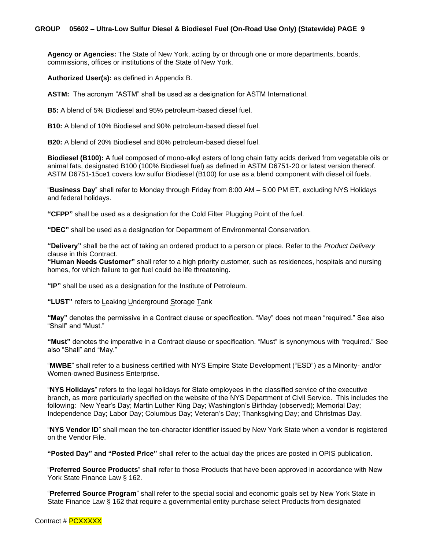**Agency or Agencies:** The State of New York, acting by or through one or more departments, boards, commissions, offices or institutions of the State of New York.

**Authorized User(s):** as defined in Appendix B.

**ASTM:** The acronym "ASTM" shall be used as a designation for ASTM International.

**B5:** A blend of 5% Biodiesel and 95% petroleum-based diesel fuel.

**B10:** A blend of 10% Biodiesel and 90% petroleum-based diesel fuel.

**B20:** A blend of 20% Biodiesel and 80% petroleum-based diesel fuel.

**Biodiesel (B100):** A fuel composed of mono-alkyl esters of long chain fatty acids derived from vegetable oils or animal fats, designated B100 (100% Biodiesel fuel) as defined in ASTM D6751-20 or latest version thereof. ASTM D6751-15ce1 covers low sulfur Biodiesel (B100) for use as a blend component with diesel oil fuels.

"**Business Day**" shall refer to Monday through Friday from 8:00 AM – 5:00 PM ET, excluding NYS Holidays and federal holidays.

**"CFPP"** shall be used as a designation for the Cold Filter Plugging Point of the fuel.

**"DEC"** shall be used as a designation for Department of Environmental Conservation.

**"Delivery"** shall be the act of taking an ordered product to a person or place. Refer to the *Product Delivery* clause in this Contract.

**"Human Needs Customer"** shall refer to a high priority customer, such as residences, hospitals and nursing homes, for which failure to get fuel could be life threatening.

**"IP"** shall be used as a designation for the Institute of Petroleum.

**"LUST"** refers to Leaking Underground Storage Tank

**"May"** denotes the permissive in a Contract clause or specification. "May" does not mean "required." See also "Shall" and "Must."

**"Must"** denotes the imperative in a Contract clause or specification. "Must" is synonymous with "required." See also "Shall" and "May."

"**MWBE**" shall refer to a business certified with NYS Empire State Development ("ESD") as a Minority- and/or Women-owned Business Enterprise.

"**NYS Holidays**" refers to the legal holidays for State employees in the classified service of the executive branch, as more particularly specified on the website of the NYS Department of Civil Service. This includes the following: New Year's Day; Martin Luther King Day; Washington's Birthday (observed); Memorial Day; Independence Day; Labor Day; Columbus Day; Veteran's Day; Thanksgiving Day; and Christmas Day.

"**NYS Vendor ID**" shall mean the ten-character identifier issued by New York State when a vendor is registered on the Vendor File.

**"Posted Day" and "Posted Price"** shall **r**efer to the actual day the prices are posted in OPIS publication.

"**Preferred Source Products**" shall refer to those Products that have been approved in accordance with New York State Finance Law § 162.

"**Preferred Source Program**" shall refer to the special social and economic goals set by New York State in State Finance Law § 162 that require a governmental entity purchase select Products from designated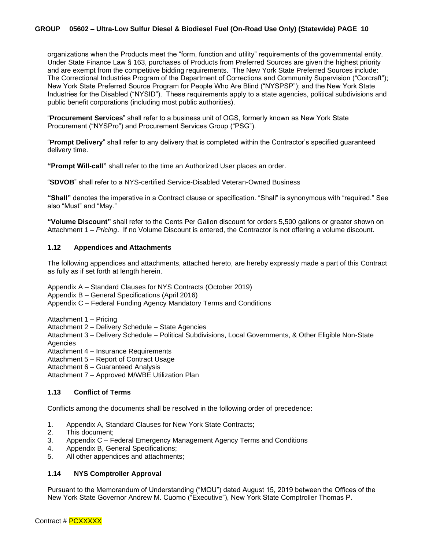organizations when the Products meet the "form, function and utility" requirements of the governmental entity. Under State Finance Law § 163, purchases of Products from Preferred Sources are given the highest priority and are exempt from the competitive bidding requirements. The New York State Preferred Sources include: The Correctional Industries Program of the Department of Corrections and Community Supervision ("Corcraft"); New York State Preferred Source Program for People Who Are Blind ("NYSPSP"); and the New York State Industries for the Disabled ("NYSID"). These requirements apply to a state agencies, political subdivisions and public benefit corporations (including most public authorities).

"**Procurement Services**" shall refer to a business unit of OGS, formerly known as New York State Procurement ("NYSPro") and Procurement Services Group ("PSG").

"**Prompt Delivery**" shall refer to any delivery that is completed within the Contractor's specified guaranteed delivery time.

**"Prompt Will-call"** shall refer to the time an Authorized User places an order.

"**SDVOB**" shall refer to a NYS-certified Service-Disabled Veteran-Owned Business

**"Shall"** denotes the imperative in a Contract clause or specification. "Shall" is synonymous with "required." See also "Must" and "May."

**"Volume Discount"** shall refer to the Cents Per Gallon discount for orders 5,500 gallons or greater shown on Attachment 1 – *Pricing*. If no Volume Discount is entered, the Contractor is not offering a volume discount.

#### <span id="page-9-0"></span>**1.12 Appendices and Attachments**

The following appendices and attachments, attached hereto, are hereby expressly made a part of this Contract as fully as if set forth at length herein.

- Appendix A Standard Clauses for NYS Contracts (October 2019)
- Appendix B General Specifications (April 2016)

Appendix C – Federal Funding Agency Mandatory Terms and Conditions

Attachment 1 – Pricing

Attachment 2 – Delivery Schedule – State Agencies

- Attachment 3 Delivery Schedule Political Subdivisions, Local Governments, & Other Eligible Non-State Agencies
- Attachment 4 Insurance Requirements
- Attachment 5 Report of Contract Usage
- Attachment 6 Guaranteed Analysis

Attachment 7 – Approved M/WBE Utilization Plan

#### <span id="page-9-1"></span>**1.13 Conflict of Terms**

Conflicts among the documents shall be resolved in the following order of precedence:

- 1. Appendix A, Standard Clauses for New York State Contracts;
- 2. This document;
- 3. Appendix C Federal Emergency Management Agency Terms and Conditions
- 4. Appendix B, General Specifications;
- 5. All other appendices and attachments;

#### <span id="page-9-2"></span>**1.14 NYS Comptroller Approval**

Pursuant to the Memorandum of Understanding ("MOU") dated August 15, 2019 between the Offices of the New York State Governor Andrew M. Cuomo ("Executive"), New York State Comptroller Thomas P.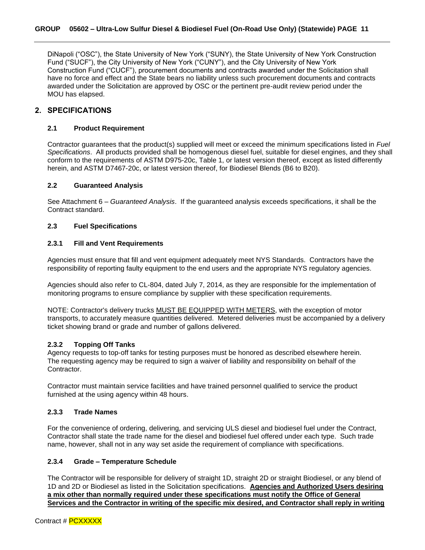DiNapoli ("OSC"), the State University of New York ("SUNY), the State University of New York Construction Fund ("SUCF"), the City University of New York ("CUNY"), and the City University of New York Construction Fund ("CUCF"), procurement documents and contracts awarded under the Solicitation shall have no force and effect and the State bears no liability unless such procurement documents and contracts awarded under the Solicitation are approved by OSC or the pertinent pre-audit review period under the MOU has elapsed.

#### <span id="page-10-0"></span>**2. SPECIFICATIONS**

#### <span id="page-10-1"></span>**2.1 Product Requirement**

Contractor guarantees that the product(s) supplied will meet or exceed the minimum specifications listed in *Fuel Specifications*. All products provided shall be homogenous diesel fuel, suitable for diesel engines, and they shall conform to the requirements of ASTM D975-20c, Table 1, or latest version thereof, except as listed differently herein, and ASTM D7467-20c, or latest version thereof, for Biodiesel Blends (B6 to B20).

#### <span id="page-10-2"></span>**2.2 Guaranteed Analysis**

See Attachment 6 – *Guaranteed Analysis*. If the guaranteed analysis exceeds specifications, it shall be the Contract standard.

#### <span id="page-10-3"></span>**2.3 Fuel Specifications**

#### <span id="page-10-4"></span>**2.3.1 Fill and Vent Requirements**

Agencies must ensure that fill and vent equipment adequately meet NYS Standards. Contractors have the responsibility of reporting faulty equipment to the end users and the appropriate NYS regulatory agencies.

Agencies should also refer to CL-804, dated July 7, 2014, as they are responsible for the implementation of monitoring programs to ensure compliance by supplier with these specification requirements.

NOTE: Contractor's delivery trucks MUST BE EQUIPPED WITH METERS, with the exception of motor transports, to accurately measure quantities delivered. Metered deliveries must be accompanied by a delivery ticket showing brand or grade and number of gallons delivered.

#### <span id="page-10-5"></span>**2.3.2 Topping Off Tanks**

Agency requests to top-off tanks for testing purposes must be honored as described elsewhere herein. The requesting agency may be required to sign a waiver of liability and responsibility on behalf of the Contractor.

Contractor must maintain service facilities and have trained personnel qualified to service the product furnished at the using agency within 48 hours.

#### <span id="page-10-6"></span>**2.3.3 Trade Names**

For the convenience of ordering, delivering, and servicing ULS diesel and biodiesel fuel under the Contract, Contractor shall state the trade name for the diesel and biodiesel fuel offered under each type. Such trade name, however, shall not in any way set aside the requirement of compliance with specifications.

#### <span id="page-10-7"></span>**2.3.4 Grade – Temperature Schedule**

The Contractor will be responsible for delivery of straight 1D, straight 2D or straight Biodiesel, or any blend of 1D and 2D or Biodiesel as listed in the Solicitation specifications. **Agencies and Authorized Users desiring a mix other than normally required under these specifications must notify the Office of General Services and the Contractor in writing of the specific mix desired, and Contractor shall reply in writing**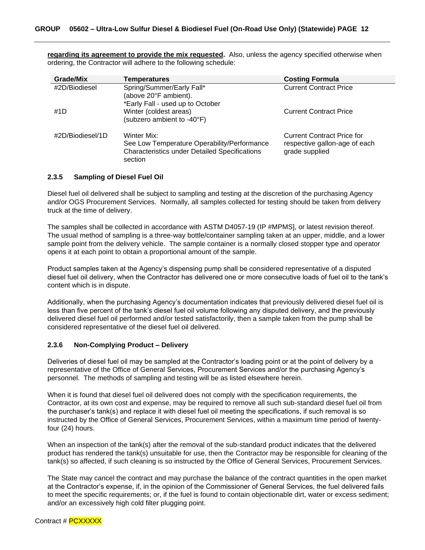**regarding its agreement to provide the mix requested.** Also, unless the agency specified otherwise when ordering, the Contractor will adhere to the following schedule:

| <b>Grade/Mix</b> | <b>Temperatures</b>                                                                                                           | <b>Costing Formula</b>                                                               |
|------------------|-------------------------------------------------------------------------------------------------------------------------------|--------------------------------------------------------------------------------------|
| #2D/Biodiesel    | Spring/Summer/Early Fall*<br>(above 20°F ambient).                                                                            | <b>Current Contract Price</b>                                                        |
| #1D              | *Early Fall - used up to October<br>Winter (coldest areas)<br>(subzero ambient to -40°F)                                      | <b>Current Contract Price</b>                                                        |
| #2D/Biodiesel/1D | Winter Mix:<br>See Low Temperature Operability/Performance<br><b>Characteristics under Detailed Specifications</b><br>section | <b>Current Contract Price for</b><br>respective gallon-age of each<br>grade supplied |

#### <span id="page-11-0"></span>**2.3.5 Sampling of Diesel Fuel Oil**

Diesel fuel oil delivered shall be subject to sampling and testing at the discretion of the purchasing Agency and/or OGS Procurement Services. Normally, all samples collected for testing should be taken from delivery truck at the time of delivery.

The samples shall be collected in accordance with ASTM D4057-19 (IP #MPMS], or latest revision thereof. The usual method of sampling is a three-way bottle/container sampling taken at an upper, middle, and a lower sample point from the delivery vehicle. The sample container is a normally closed stopper type and operator opens it at each point to obtain a proportional amount of the sample.

Product samples taken at the Agency's dispensing pump shall be considered representative of a disputed diesel fuel oil delivery, when the Contractor has delivered one or more consecutive loads of fuel oil to the tank's content which is in dispute.

Additionally, when the purchasing Agency's documentation indicates that previously delivered diesel fuel oil is less than five percent of the tank's diesel fuel oil volume following any disputed delivery, and the previously delivered diesel fuel oil performed and/or tested satisfactorily, then a sample taken from the pump shall be considered representative of the diesel fuel oil delivered.

#### <span id="page-11-1"></span>**2.3.6 Non-Complying Product – Delivery**

Deliveries of diesel fuel oil may be sampled at the Contractor's loading point or at the point of delivery by a representative of the Office of General Services, Procurement Services and/or the purchasing Agency's personnel. The methods of sampling and testing will be as listed elsewhere herein.

When it is found that diesel fuel oil delivered does not comply with the specification requirements, the Contractor, at its own cost and expense, may be required to remove all such sub-standard diesel fuel oil from the purchaser's tank(s) and replace it with diesel fuel oil meeting the specifications, if such removal is so instructed by the Office of General Services, Procurement Services, within a maximum time period of twentyfour (24) hours.

When an inspection of the tank(s) after the removal of the sub-standard product indicates that the delivered product has rendered the tank(s) unsuitable for use, then the Contractor may be responsible for cleaning of the tank(s) so affected, if such cleaning is so instructed by the Office of General Services, Procurement Services.

The State may cancel the contract and may purchase the balance of the contract quantities in the open market at the Contractor's expense, if, in the opinion of the Commissioner of General Services, the fuel delivered fails to meet the specific requirements; or, if the fuel is found to contain objectionable dirt, water or excess sediment; and/or an excessively high cold filter plugging point.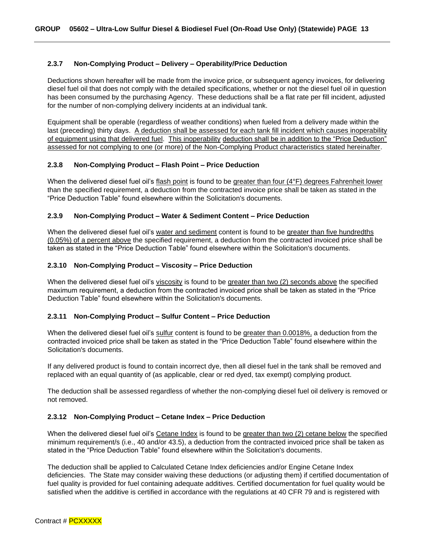#### <span id="page-12-0"></span>**2.3.7 Non-Complying Product – Delivery – Operability/Price Deduction**

Deductions shown hereafter will be made from the invoice price, or subsequent agency invoices, for delivering diesel fuel oil that does not comply with the detailed specifications, whether or not the diesel fuel oil in question has been consumed by the purchasing Agency. These deductions shall be a flat rate per fill incident, adjusted for the number of non-complying delivery incidents at an individual tank.

Equipment shall be operable (regardless of weather conditions) when fueled from a delivery made within the last (preceding) thirty days. A deduction shall be assessed for each tank fill incident which causes inoperability of equipment using that delivered fuel. This inoperability deduction shall be in addition to the "Price Deduction" assessed for not complying to one (or more) of the Non-Complying Product characteristics stated hereinafter.

#### <span id="page-12-1"></span>**2.3.8 Non-Complying Product – Flash Point – Price Deduction**

When the delivered diesel fuel oil's flash point is found to be greater than four (4°F) degrees Fahrenheit lower than the specified requirement, a deduction from the contracted invoice price shall be taken as stated in the "Price Deduction Table" found elsewhere within the Solicitation's documents.

#### <span id="page-12-2"></span>**2.3.9 Non-Complying Product – Water & Sediment Content – Price Deduction**

When the delivered diesel fuel oil's water and sediment content is found to be greater than five hundredths (0.05%) of a percent above the specified requirement, a deduction from the contracted invoiced price shall be taken as stated in the "Price Deduction Table" found elsewhere within the Solicitation's documents.

#### <span id="page-12-3"></span>**2.3.10 Non-Complying Product – Viscosity – Price Deduction**

When the delivered diesel fuel oil's viscosity is found to be greater than two (2) seconds above the specified maximum requirement, a deduction from the contracted invoiced price shall be taken as stated in the "Price Deduction Table" found elsewhere within the Solicitation's documents.

#### <span id="page-12-4"></span>**2.3.11 Non-Complying Product – Sulfur Content – Price Deduction**

When the delivered diesel fuel oil's sulfur content is found to be greater than 0.0018%, a deduction from the contracted invoiced price shall be taken as stated in the "Price Deduction Table" found elsewhere within the Solicitation's documents.

If any delivered product is found to contain incorrect dye, then all diesel fuel in the tank shall be removed and replaced with an equal quantity of (as applicable, clear or red dyed, tax exempt) complying product.

The deduction shall be assessed regardless of whether the non-complying diesel fuel oil delivery is removed or not removed.

#### <span id="page-12-5"></span>**2.3.12 Non-Complying Product – Cetane Index – Price Deduction**

When the delivered diesel fuel oil's Cetane Index is found to be greater than two (2) cetane below the specified minimum requirement/s (i.e., 40 and/or 43.5), a deduction from the contracted invoiced price shall be taken as stated in the "Price Deduction Table" found elsewhere within the Solicitation's documents.

The deduction shall be applied to Calculated Cetane Index deficiencies and/or Engine Cetane Index deficiencies. The State may consider waiving these deductions (or adjusting them) if certified documentation of fuel quality is provided for fuel containing adequate additives. Certified documentation for fuel quality would be satisfied when the additive is certified in accordance with the regulations at 40 CFR 79 and is registered with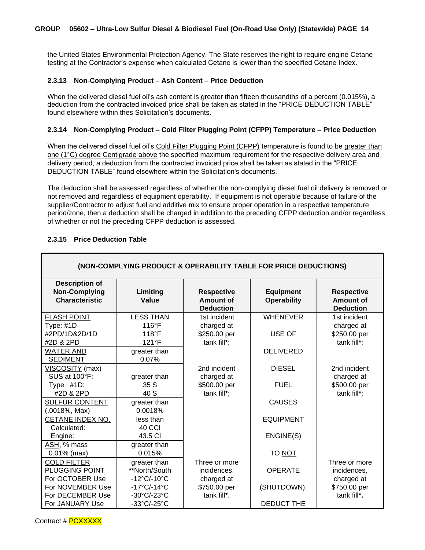the United States Environmental Protection Agency. The State reserves the right to require engine Cetane testing at the Contractor's expense when calculated Cetane is lower than the specified Cetane Index.

#### <span id="page-13-0"></span>**2.3.13 Non-Complying Product – Ash Content – Price Deduction**

When the delivered diesel fuel oil's ash content is greater than fifteen thousandths of a percent (0.015%), a deduction from the contracted invoiced price shall be taken as stated in the "PRICE DEDUCTION TABLE" found elsewhere within thes Solicitation's documents.

### <span id="page-13-1"></span>**2.3.14 Non-Complying Product – Cold Filter Plugging Point (CFPP) Temperature – Price Deduction**

When the delivered diesel fuel oil's Cold Filter Plugging Point (CFPP) temperature is found to be greater than one (1°C) degree Centigrade above the specified maximum requirement for the respective delivery area and delivery period, a deduction from the contracted invoiced price shall be taken as stated in the "PRICE DEDUCTION TABLE" found elsewhere within the Solicitation's documents.

The deduction shall be assessed regardless of whether the non-complying diesel fuel oil delivery is removed or not removed and regardless of equipment operability. If equipment is not operable because of failure of the supplier/Contractor to adjust fuel and additive mix to ensure proper operation in a respective temperature period/zone, then a deduction shall be charged in addition to the preceding CFPP deduction and/or regardless of whether or not the preceding CFPP deduction is assessed.

| (NON-COMPLYING PRODUCT & OPERABILITY TABLE FOR PRICE DEDUCTIONS)       |                                  |                                                    |                                        |                                                    |  |  |
|------------------------------------------------------------------------|----------------------------------|----------------------------------------------------|----------------------------------------|----------------------------------------------------|--|--|
| <b>Description of</b><br><b>Non-Complying</b><br><b>Characteristic</b> | Limiting<br>Value                | <b>Respective</b><br>Amount of<br><b>Deduction</b> | <b>Equipment</b><br><b>Operability</b> | <b>Respective</b><br>Amount of<br><b>Deduction</b> |  |  |
| <b>FLASH POINT</b>                                                     | <b>LESS THAN</b>                 | 1st incident                                       | <b>WHENEVER</b>                        | 1st incident                                       |  |  |
| Type: #1D                                                              | $116^{\circ}F$                   | charged at                                         |                                        | charged at                                         |  |  |
| #2PD/1D&2D/1D                                                          | $118^{\circ}F$                   | \$250.00 per                                       | USE OF                                 | \$250.00 per                                       |  |  |
| #2D & 2PD                                                              | $121^{\circ}F$                   | tank fill*;                                        |                                        | tank fill*;                                        |  |  |
| <b>WATER AND</b>                                                       | greater than                     |                                                    | <b>DELIVERED</b>                       |                                                    |  |  |
| <b>SEDIMENT</b>                                                        | 0.07%                            |                                                    |                                        |                                                    |  |  |
| VISCOSITY (max)                                                        |                                  | 2nd incident                                       | <b>DIESEL</b>                          | 2nd incident                                       |  |  |
| SUS at 100°F:                                                          | greater than                     | charged at                                         |                                        | charged at                                         |  |  |
| Type: $#1D$ :                                                          | 35 S                             | \$500.00 per                                       | <b>FUEL</b>                            | \$500.00 per                                       |  |  |
| #2D & 2PD                                                              | 40 S                             | tank fill*;                                        |                                        | tank fill*;                                        |  |  |
| <b>SULFUR CONTENT</b>                                                  | greater than                     |                                                    | <b>CAUSES</b>                          |                                                    |  |  |
| $(.0018\%, Max)$                                                       | 0.0018%                          |                                                    |                                        |                                                    |  |  |
| CETANE INDEX NO.                                                       | less than                        |                                                    | <b>EQUIPMENT</b>                       |                                                    |  |  |
| Calculated:                                                            | 40 CCI                           |                                                    |                                        |                                                    |  |  |
| Engine:                                                                | 43.5 CI                          |                                                    | ENGINE(S)                              |                                                    |  |  |
| ASH, % mass                                                            | greater than                     |                                                    |                                        |                                                    |  |  |
| $0.01\%$ (max):                                                        | 0.015%                           |                                                    | TO NOT                                 |                                                    |  |  |
| <b>COLD FILTER</b>                                                     | greater than                     | Three or more                                      |                                        | Three or more                                      |  |  |
| PLUGGING POINT                                                         | **North/South                    | incidences,                                        | <b>OPERATE</b>                         | incidences,                                        |  |  |
| For OCTOBER Use                                                        | $-12^{\circ}$ C/-10 $^{\circ}$ C | charged at                                         |                                        | charged at                                         |  |  |
| For NOVEMBER Use                                                       | $-17^{\circ}$ C/-14 $^{\circ}$ C | \$750.00 per                                       | (SHUTDOWN),                            | \$750.00 per                                       |  |  |
| For DECEMBER Use                                                       | -30°C/-23°C                      | tank fill*.                                        |                                        | tank fill*.                                        |  |  |
| For JANUARY Use                                                        | -33°C/-25°C                      |                                                    | <b>DEDUCT THE</b>                      |                                                    |  |  |

#### <span id="page-13-2"></span>**2.3.15 Price Deduction Table**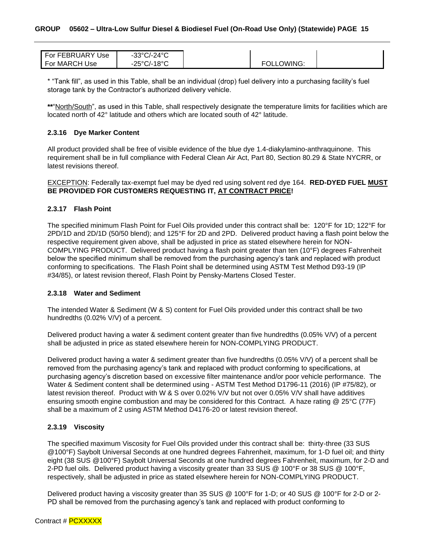| For FEBRUARY Use | $-33^{\circ}$ C/-24 $^{\circ}$ C |
|------------------|----------------------------------|
|                  |                                  |
| For MARCH Use    | $-25^{\circ}$ C/-18 $^{\circ}$ C |
|                  |                                  |

\* "Tank fill", as used in this Table, shall be an individual (drop) fuel delivery into a purchasing facility's fuel storage tank by the Contractor's authorized delivery vehicle.

**\*\***"North/South", as used in this Table, shall respectively designate the temperature limits for facilities which are located north of 42° latitude and others which are located south of 42° latitude.

#### <span id="page-14-0"></span>**2.3.16 Dye Marker Content**

All product provided shall be free of visible evidence of the blue dye 1.4-diakylamino-anthraquinone. This requirement shall be in full compliance with Federal Clean Air Act, Part 80, Section 80.29 & State NYCRR, or latest revisions thereof.

#### EXCEPTION: Federally tax-exempt fuel may be dyed red using solvent red dye 164. **RED-DYED FUEL MUST BE PROVIDED FOR CUSTOMERS REQUESTING IT, AT CONTRACT PRICE!**

#### <span id="page-14-1"></span>**2.3.17 Flash Point**

The specified minimum Flash Point for Fuel Oils provided under this contract shall be: 120°F for 1D; 122°F for 2PD/1D and 2D/1D (50/50 blend); and 125°F for 2D and 2PD. Delivered product having a flash point below the respective requirement given above, shall be adjusted in price as stated elsewhere herein for NON-COMPLYING PRODUCT. Delivered product having a flash point greater than ten (10°F) degrees Fahrenheit below the specified minimum shall be removed from the purchasing agency's tank and replaced with product conforming to specifications. The Flash Point shall be determined using ASTM Test Method D93-19 (IP #34/85), or latest revision thereof, Flash Point by Pensky-Martens Closed Tester.

#### <span id="page-14-2"></span>**2.3.18 Water and Sediment**

The intended Water & Sediment (W & S) content for Fuel Oils provided under this contract shall be two hundredths (0.02% V/V) of a percent.

Delivered product having a water & sediment content greater than five hundredths (0.05% V/V) of a percent shall be adjusted in price as stated elsewhere herein for NON-COMPLYING PRODUCT.

Delivered product having a water & sediment greater than five hundredths (0.05% V/V) of a percent shall be removed from the purchasing agency's tank and replaced with product conforming to specifications, at purchasing agency's discretion based on excessive filter maintenance and/or poor vehicle performance. The Water & Sediment content shall be determined using - ASTM Test Method D1796-11 (2016) (IP #75/82), or latest revision thereof. Product with W & S over 0.02% V/V but not over 0.05% V/V shall have additives ensuring smooth engine combustion and may be considered for this Contract. A haze rating @ 25°C (77F) shall be a maximum of 2 using ASTM Method D4176-20 or latest revision thereof.

#### <span id="page-14-3"></span>**2.3.19 Viscosity**

The specified maximum Viscosity for Fuel Oils provided under this contract shall be: thirty-three (33 SUS @100°F) Saybolt Universal Seconds at one hundred degrees Fahrenheit, maximum, for 1-D fuel oil; and thirty eight (38 SUS @100°F) Saybolt Universal Seconds at one hundred degrees Fahrenheit, maximum, for 2-D and 2-PD fuel oils. Delivered product having a viscosity greater than 33 SUS @ 100°F or 38 SUS @ 100°F, respectively, shall be adjusted in price as stated elsewhere herein for NON-COMPLYING PRODUCT.

Delivered product having a viscosity greater than 35 SUS @ 100°F for 1-D; or 40 SUS @ 100°F for 2-D or 2- PD shall be removed from the purchasing agency's tank and replaced with product conforming to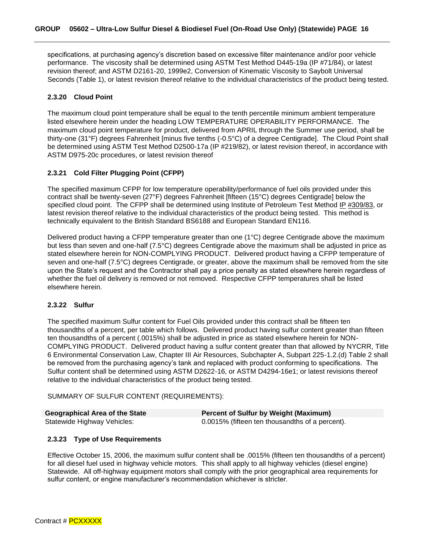specifications, at purchasing agency's discretion based on excessive filter maintenance and/or poor vehicle performance. The viscosity shall be determined using ASTM Test Method D445-19a (IP #71/84), or latest revision thereof; and ASTM D2161-20, 1999e2, Conversion of Kinematic Viscosity to Saybolt Universal Seconds (Table 1), or latest revision thereof relative to the individual characteristics of the product being tested.

#### <span id="page-15-0"></span>**2.3.20 Cloud Point**

The maximum cloud point temperature shall be equal to the tenth percentile minimum ambient temperature listed elsewhere herein under the heading LOW TEMPERATURE OPERABILITY PERFORMANCE. The maximum cloud point temperature for product, delivered from APRIL through the Summer use period, shall be thirty-one (31°F) degrees Fahrenheit [minus five tenths (-0.5°C) of a degree Centigrade]. The Cloud Point shall be determined using ASTM Test Method D2500-17a (IP #219/82), or latest revision thereof, in accordance with ASTM D975-20c procedures, or latest revision thereof

#### <span id="page-15-1"></span>**2.3.21 Cold Filter Plugging Point (CFPP)**

The specified maximum CFPP for low temperature operability/performance of fuel oils provided under this contract shall be twenty-seven (27°F) degrees Fahrenheit [fifteen (15°C) degrees Centigrade] below the specified cloud point. The CFPP shall be determined using Institute of Petroleum Test Method IP #309/83, or latest revision thereof relative to the individual characteristics of the product being tested. This method is technically equivalent to the British Standard BS6188 and European Standard EN116.

Delivered product having a CFPP temperature greater than one (1°C) degree Centigrade above the maximum but less than seven and one-half (7.5°C) degrees Centigrade above the maximum shall be adjusted in price as stated elsewhere herein for NON-COMPLYING PRODUCT. Delivered product having a CFPP temperature of seven and one-half (7.5°C) degrees Centigrade, or greater, above the maximum shall be removed from the site upon the State's request and the Contractor shall pay a price penalty as stated elsewhere herein regardless of whether the fuel oil delivery is removed or not removed. Respective CFPP temperatures shall be listed elsewhere herein.

#### <span id="page-15-2"></span>**2.3.22 Sulfur**

The specified maximum Sulfur content for Fuel Oils provided under this contract shall be fifteen ten thousandths of a percent, per table which follows. Delivered product having sulfur content greater than fifteen ten thousandths of a percent (.0015%) shall be adjusted in price as stated elsewhere herein for NON-COMPLYING PRODUCT. Delivered product having a sulfur content greater than that allowed by NYCRR, Title 6 Environmental Conservation Law, Chapter III Air Resources, Subchapter A, Subpart 225-1.2.(d) Table 2 shall be removed from the purchasing agency's tank and replaced with product conforming to specifications. The Sulfur content shall be determined using ASTM D2622-16, or ASTM D4294-16e1; or latest revisions thereof relative to the individual characteristics of the product being tested.

SUMMARY OF SULFUR CONTENT (REQUIREMENTS):

| Geographical Area of the State | <b>Percent of Sulfur by Weight (Maximum)</b>    |
|--------------------------------|-------------------------------------------------|
| Statewide Highway Vehicles:    | 0.0015% (fifteen ten thousandths of a percent). |

#### <span id="page-15-3"></span>**2.3.23 Type of Use Requirements**

Effective October 15, 2006, the maximum sulfur content shall be .0015% (fifteen ten thousandths of a percent) for all diesel fuel used in highway vehicle motors. This shall apply to all highway vehicles (diesel engine) Statewide. All off-highway equipment motors shall comply with the prior geographical area requirements for sulfur content, or engine manufacturer's recommendation whichever is stricter.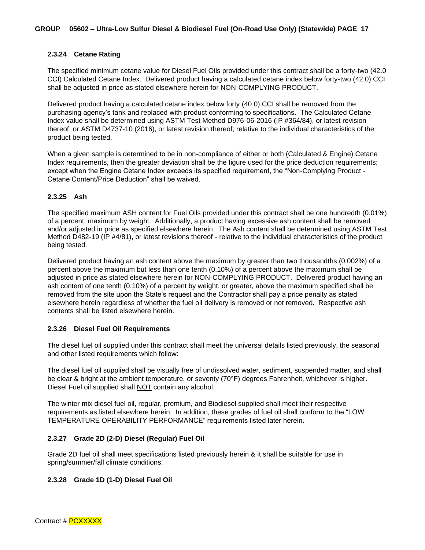#### <span id="page-16-0"></span>**2.3.24 Cetane Rating**

The specified minimum cetane value for Diesel Fuel Oils provided under this contract shall be a forty-two (42.0 CCI) Calculated Cetane Index. Delivered product having a calculated cetane index below forty-two (42.0) CCI shall be adjusted in price as stated elsewhere herein for NON-COMPLYING PRODUCT.

Delivered product having a calculated cetane index below forty (40.0) CCI shall be removed from the purchasing agency's tank and replaced with product conforming to specifications. The Calculated Cetane Index value shall be determined using ASTM Test Method D976-06-2016 (IP #364/84), or latest revision thereof; or ASTM D4737-10 (2016), or latest revision thereof; relative to the individual characteristics of the product being tested.

When a given sample is determined to be in non-compliance of either or both (Calculated & Engine) Cetane Index requirements, then the greater deviation shall be the figure used for the price deduction requirements; except when the Engine Cetane Index exceeds its specified requirement, the "Non-Complying Product - Cetane Content/Price Deduction" shall be waived.

#### <span id="page-16-1"></span>**2.3.25 Ash**

The specified maximum ASH content for Fuel Oils provided under this contract shall be one hundredth (0.01%) of a percent, maximum by weight. Additionally, a product having excessive ash content shall be removed and/or adjusted in price as specified elsewhere herein. The Ash content shall be determined using ASTM Test Method D482-19 (IP #4/81), or latest revisions thereof - relative to the individual characteristics of the product being tested.

Delivered product having an ash content above the maximum by greater than two thousandths (0.002%) of a percent above the maximum but less than one tenth (0.10%) of a percent above the maximum shall be adjusted in price as stated elsewhere herein for NON-COMPLYING PRODUCT. Delivered product having an ash content of one tenth (0.10%) of a percent by weight, or greater, above the maximum specified shall be removed from the site upon the State's request and the Contractor shall pay a price penalty as stated elsewhere herein regardless of whether the fuel oil delivery is removed or not removed. Respective ash contents shall be listed elsewhere herein.

#### <span id="page-16-2"></span>**2.3.26 Diesel Fuel Oil Requirements**

The diesel fuel oil supplied under this contract shall meet the universal details listed previously, the seasonal and other listed requirements which follow:

The diesel fuel oil supplied shall be visually free of undissolved water, sediment, suspended matter, and shall be clear & bright at the ambient temperature, or seventy (70°F) degrees Fahrenheit, whichever is higher. Diesel Fuel oil supplied shall NOT contain any alcohol.

The winter mix diesel fuel oil, regular, premium, and Biodiesel supplied shall meet their respective requirements as listed elsewhere herein. In addition, these grades of fuel oil shall conform to the "LOW TEMPERATURE OPERABILITY PERFORMANCE" requirements listed later herein.

#### <span id="page-16-3"></span>**2.3.27 Grade 2D (2-D) Diesel (Regular) Fuel Oil**

Grade 2D fuel oil shall meet specifications listed previously herein & it shall be suitable for use in spring/summer/fall climate conditions.

#### <span id="page-16-4"></span>**2.3.28 Grade 1D (1-D) Diesel Fuel Oil**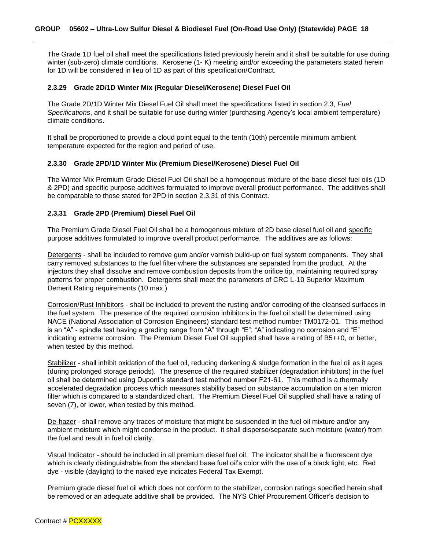The Grade 1D fuel oil shall meet the specifications listed previously herein and it shall be suitable for use during winter (sub-zero) climate conditions. Kerosene (1- K) meeting and/or exceeding the parameters stated herein for 1D will be considered in lieu of 1D as part of this specification/Contract.

#### <span id="page-17-0"></span>**2.3.29 Grade 2D/1D Winter Mix (Regular Diesel/Kerosene) Diesel Fuel Oil**

The Grade 2D/1D Winter Mix Diesel Fuel Oil shall meet the specifications listed in section 2.3, *Fuel Specifications*, and it shall be suitable for use during winter (purchasing Agency's local ambient temperature) climate conditions.

It shall be proportioned to provide a cloud point equal to the tenth (10th) percentile minimum ambient temperature expected for the region and period of use.

#### <span id="page-17-1"></span>**2.3.30 Grade 2PD/1D Winter Mix (Premium Diesel/Kerosene) Diesel Fuel Oil**

The Winter Mix Premium Grade Diesel Fuel Oil shall be a homogenous mixture of the base diesel fuel oils (1D & 2PD) and specific purpose additives formulated to improve overall product performance. The additives shall be comparable to those stated for 2PD in section 2.3.31 of this Contract.

#### <span id="page-17-2"></span>**2.3.31 Grade 2PD (Premium) Diesel Fuel Oil**

The Premium Grade Diesel Fuel Oil shall be a homogenous mixture of 2D base diesel fuel oil and specific purpose additives formulated to improve overall product performance. The additives are as follows:

Detergents - shall be included to remove gum and/or varnish build-up on fuel system components. They shall carry removed substances to the fuel filter where the substances are separated from the product. At the injectors they shall dissolve and remove combustion deposits from the orifice tip, maintaining required spray patterns for proper combustion. Detergents shall meet the parameters of CRC L-10 Superior Maximum Demerit Rating requirements (10 max.)

Corrosion/Rust Inhibitors - shall be included to prevent the rusting and/or corroding of the cleansed surfaces in the fuel system. The presence of the required corrosion inhibitors in the fuel oil shall be determined using NACE (National Association of Corrosion Engineers) standard test method number TM0172-01. This method is an "A" - spindle test having a grading range from "A" through "E"; "A" indicating no corrosion and "E" indicating extreme corrosion. The Premium Diesel Fuel Oil supplied shall have a rating of B5++0, or better, when tested by this method.

Stabilizer - shall inhibit oxidation of the fuel oil, reducing darkening & sludge formation in the fuel oil as it ages (during prolonged storage periods). The presence of the required stabilizer (degradation inhibitors) in the fuel oil shall be determined using Dupont's standard test method number F21-61. This method is a thermally accelerated degradation process which measures stability based on substance accumulation on a ten micron filter which is compared to a standardized chart. The Premium Diesel Fuel Oil supplied shall have a rating of seven (7), or lower, when tested by this method.

De-hazer - shall remove any traces of moisture that might be suspended in the fuel oil mixture and/or any ambient moisture which might condense in the product. it shall disperse/separate such moisture (water) from the fuel and result in fuel oil clarity.

Visual Indicator - should be included in all premium diesel fuel oil. The indicator shall be a fluorescent dye which is clearly distinguishable from the standard base fuel oil's color with the use of a black light, etc. Red dye - visible (daylight) to the naked eye indicates Federal Tax Exempt.

Premium grade diesel fuel oil which does not conform to the stabilizer, corrosion ratings specified herein shall be removed or an adequate additive shall be provided. The NYS Chief Procurement Officer's decision to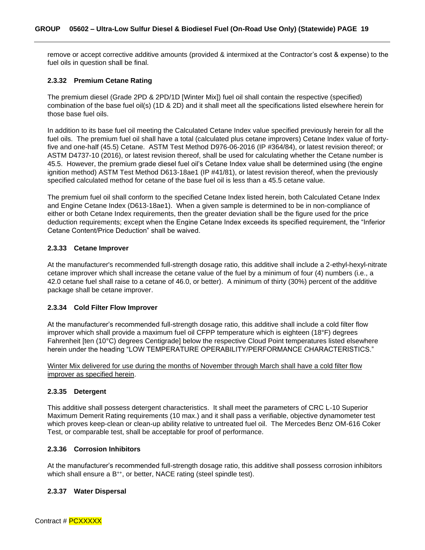remove or accept corrective additive amounts (provided & intermixed at the Contractor's cost & expense) to the fuel oils in question shall be final.

#### <span id="page-18-0"></span>**2.3.32 Premium Cetane Rating**

The premium diesel (Grade 2PD & 2PD/1D [Winter Mix]) fuel oil shall contain the respective (specified) combination of the base fuel oil(s) (1D & 2D) and it shall meet all the specifications listed elsewhere herein for those base fuel oils.

In addition to its base fuel oil meeting the Calculated Cetane Index value specified previously herein for all the fuel oils. The premium fuel oil shall have a total (calculated plus cetane improvers) Cetane Index value of fortyfive and one-half (45.5) Cetane. ASTM Test Method D976-06-2016 (IP #364/84), or latest revision thereof; or ASTM D4737-10 (2016), or latest revision thereof, shall be used for calculating whether the Cetane number is 45.5. However, the premium grade diesel fuel oil's Cetane Index value shall be determined using (the engine ignition method) ASTM Test Method D613-18ae1 (IP #41/81), or latest revision thereof, when the previously specified calculated method for cetane of the base fuel oil is less than a 45.5 cetane value.

The premium fuel oil shall conform to the specified Cetane Index listed herein, both Calculated Cetane Index and Engine Cetane Index (D613-18ae1). When a given sample is determined to be in non-compliance of either or both Cetane Index requirements, then the greater deviation shall be the figure used for the price deduction requirements; except when the Engine Cetane Index exceeds its specified requirement, the "Inferior Cetane Content/Price Deduction" shall be waived.

#### <span id="page-18-1"></span>**2.3.33 Cetane Improver**

At the manufacturer's recommended full-strength dosage ratio, this additive shall include a 2-ethyl-hexyl-nitrate cetane improver which shall increase the cetane value of the fuel by a minimum of four (4) numbers (i.e., a 42.0 cetane fuel shall raise to a cetane of 46.0, or better). A minimum of thirty (30%) percent of the additive package shall be cetane improver.

#### <span id="page-18-2"></span>**2.3.34 Cold Filter Flow Improver**

At the manufacturer's recommended full-strength dosage ratio, this additive shall include a cold filter flow improver which shall provide a maximum fuel oil CFPP temperature which is eighteen (18°F) degrees Fahrenheit [ten (10°C) degrees Centigrade] below the respective Cloud Point temperatures listed elsewhere herein under the heading "LOW TEMPERATURE OPERABILITY/PERFORMANCE CHARACTERISTICS."

Winter Mix delivered for use during the months of November through March shall have a cold filter flow improver as specified herein.

#### <span id="page-18-3"></span>**2.3.35 Detergent**

This additive shall possess detergent characteristics. It shall meet the parameters of CRC L-10 Superior Maximum Demerit Rating requirements (10 max.) and it shall pass a verifiable, objective dynamometer test which proves keep-clean or clean-up ability relative to untreated fuel oil. The Mercedes Benz OM-616 Coker Test, or comparable test, shall be acceptable for proof of performance.

#### <span id="page-18-4"></span>**2.3.36 Corrosion Inhibitors**

At the manufacturer's recommended full-strength dosage ratio, this additive shall possess corrosion inhibitors which shall ensure a B<sup>++</sup>, or better, NACE rating (steel spindle test).

#### <span id="page-18-5"></span>**2.3.37 Water Dispersal**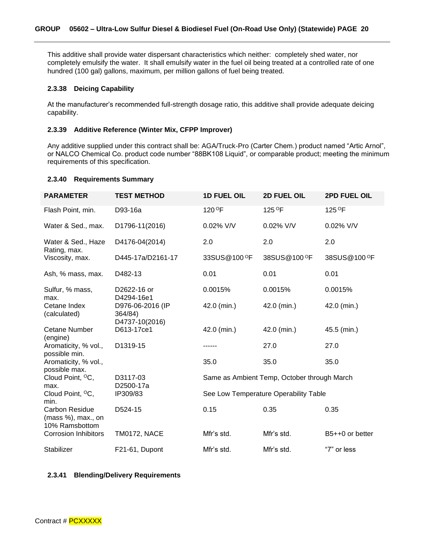This additive shall provide water dispersant characteristics which neither: completely shed water, nor completely emulsify the water. It shall emulsify water in the fuel oil being treated at a controlled rate of one hundred (100 gal) gallons, maximum, per million gallons of fuel being treated.

#### <span id="page-19-0"></span>**2.3.38 Deicing Capability**

At the manufacturer's recommended full-strength dosage ratio, this additive shall provide adequate deicing capability.

#### <span id="page-19-1"></span>**2.3.39 Additive Reference (Winter Mix, CFPP Improver)**

Any additive supplied under this contract shall be: AGA/Truck-Pro (Carter Chem.) product named "Artic Arnol", or NALCO Chemical Co. product code number "88BK108 Liquid", or comparable product; meeting the minimum requirements of this specification.

#### <span id="page-19-2"></span>**2.3.40 Requirements Summary**

| <b>PARAMETER</b>                                       | <b>TEST METHOD</b>                            | <b>1D FUEL OIL</b>       | 2D FUEL OIL                                 | 2PD FUEL OIL             |
|--------------------------------------------------------|-----------------------------------------------|--------------------------|---------------------------------------------|--------------------------|
| Flash Point, min.                                      | D93-16a                                       | 120 <sup>O</sup> F       | 125 °F                                      | 125 °F                   |
| Water & Sed., max.                                     | D1796-11(2016)                                | 0.02% V/V                | 0.02% V/V                                   | $0.02\%$ V/V             |
| Water & Sed., Haze<br>Rating, max.                     | D4176-04(2014)                                | 2.0                      | 2.0                                         | 2.0                      |
| Viscosity, max.                                        | D445-17a/D2161-17                             | 33SUS@100 <sup>O</sup> F | 38SUS@100 <sup>O</sup> F                    | 38SUS@100 <sup>O</sup> F |
| Ash, % mass, max.                                      | D482-13                                       | 0.01                     | 0.01                                        | 0.01                     |
| Sulfur, % mass,<br>max.                                | D2622-16 or<br>D4294-16e1                     | 0.0015%                  | 0.0015%                                     | 0.0015%                  |
| Cetane Index<br>(calculated)                           | D976-06-2016 (IP<br>364/84)<br>D4737-10(2016) | 42.0 (min.)              | 42.0 (min.)                                 | 42.0 (min.)              |
| <b>Cetane Number</b><br>(engine)                       | D613-17ce1                                    | 42.0 (min.)              | 42.0 (min.)                                 | 45.5 (min.)              |
| Aromaticity, % vol.,<br>possible min.                  | D1319-15                                      |                          | 27.0                                        | 27.0                     |
| Aromaticity, % vol.,<br>possible max.                  |                                               | 35.0                     | 35.0                                        | 35.0                     |
| Cloud Point, <sup>o</sup> C,<br>max.                   | D3117-03<br>D2500-17a                         |                          | Same as Ambient Temp, October through March |                          |
| Cloud Point, <sup>o</sup> C,<br>min.                   | IP309/83                                      |                          | See Low Temperature Operability Table       |                          |
| Carbon Residue<br>(mass %), max., on<br>10% Ramsbottom | D524-15                                       | 0.15                     | 0.35                                        | 0.35                     |
| <b>Corrosion Inhibitors</b>                            | <b>TM0172, NACE</b>                           | Mfr's std.               | Mfr's std.                                  | B5++0 or better          |
| Stabilizer                                             | F21-61, Dupont                                | Mfr's std.               | Mfr's std.                                  | "7" or less              |

#### <span id="page-19-3"></span>**2.3.41 Blending/Delivery Requirements**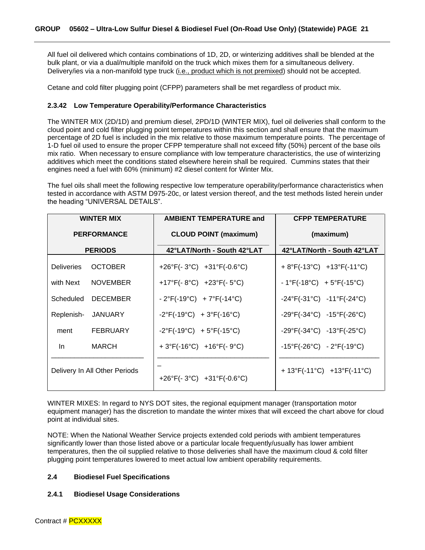All fuel oil delivered which contains combinations of 1D, 2D, or winterizing additives shall be blended at the bulk plant, or via a dual/multiple manifold on the truck which mixes them for a simultaneous delivery. Delivery/ies via a non-manifold type truck (i.e., product which is not premixed) should not be accepted.

Cetane and cold filter plugging point (CFPP) parameters shall be met regardless of product mix.

#### <span id="page-20-0"></span>**2.3.42 Low Temperature Operability/Performance Characteristics**

The WINTER MIX (2D/1D) and premium diesel, 2PD/1D (WINTER MIX), fuel oil deliveries shall conform to the cloud point and cold filter plugging point temperatures within this section and shall ensure that the maximum percentage of 2D fuel is included in the mix relative to those maximum temperature points. The percentage of 1-D fuel oil used to ensure the proper CFPP temperature shall not exceed fifty (50%) percent of the base oils mix ratio. When necessary to ensure compliance with low temperature characteristics, the use of winterizing additives which meet the conditions stated elsewhere herein shall be required. Cummins states that their engines need a fuel with 60% (minimum) #2 diesel content for Winter Mix.

The fuel oils shall meet the following respective low temperature operability/performance characteristics when tested in accordance with ASTM D975-20c, or latest version thereof, and the test methods listed herein under the heading "UNIVERSAL DETAILS".

| <b>WINTER MIX</b>             |                 | <b>AMBIENT TEMPERATURE and</b>                            | <b>CFPP TEMPERATURE</b>                                     |  |
|-------------------------------|-----------------|-----------------------------------------------------------|-------------------------------------------------------------|--|
| <b>PERFORMANCE</b>            |                 | <b>CLOUD POINT (maximum)</b>                              | (maximum)                                                   |  |
|                               | <b>PERIODS</b>  | 42°LAT/North - South 42°LAT                               | 42°LAT/North - South 42°LAT                                 |  |
| <b>Deliveries</b>             | <b>OCTOBER</b>  | +26°F(-3°C) +31°F(-0.6°C)                                 | + $8^{\circ}F(-13^{\circ}C)$ + $13^{\circ}F(-11^{\circ}C)$  |  |
| with Next                     | <b>NOVEMBER</b> | +17°F(-8°C) +23°F(-5°C)                                   | $-1^{\circ}F(-18^{\circ}C) + 5^{\circ}F(-15^{\circ}C)$      |  |
| Scheduled                     | <b>DECEMBER</b> | $-2^{\circ}F(-19^{\circ}C) + 7^{\circ}F(-14^{\circ}C)$    | $-24^{\circ}F(-31^{\circ}C)$ $-11^{\circ}F(-24^{\circ}C)$   |  |
| Replenish-                    | JANUARY         | $-2^{\circ}F(-19^{\circ}C) + 3^{\circ}F(-16^{\circ}C)$    | $-29^{\circ}F(-34^{\circ}C)$ $-15^{\circ}F(-26^{\circ}C)$   |  |
| ment                          | <b>FEBRUARY</b> | $-2^{\circ}F(-19^{\circ}C) + 5^{\circ}F(-15^{\circ}C)$    | $-29^{\circ}F(-34^{\circ}C)$ $-13^{\circ}F(-25^{\circ}C)$   |  |
| In.                           | <b>MARCH</b>    | + $3^{\circ}F(-16^{\circ}C)$ + $16^{\circ}F(-9^{\circ}C)$ | $-15^{\circ}F(-26^{\circ}C) - 2^{\circ}F(-19^{\circ}C)$     |  |
| Delivery In All Other Periods |                 | +26°F(-3°C) +31°F(-0.6°C)                                 | + $13^{\circ}F(-11^{\circ}C)$ + $13^{\circ}F(-11^{\circ}C)$ |  |

WINTER MIXES: In regard to NYS DOT sites, the regional equipment manager (transportation motor equipment manager) has the discretion to mandate the winter mixes that will exceed the chart above for cloud point at individual sites.

NOTE: When the National Weather Service projects extended cold periods with ambient temperatures significantly lower than those listed above or a particular locale frequently/usually has lower ambient temperatures, then the oil supplied relative to those deliveries shall have the maximum cloud & cold filter plugging point temperatures lowered to meet actual low ambient operability requirements.

#### <span id="page-20-1"></span>**2.4 Biodiesel Fuel Specifications**

#### <span id="page-20-2"></span>**2.4.1 Biodiesel Usage Considerations**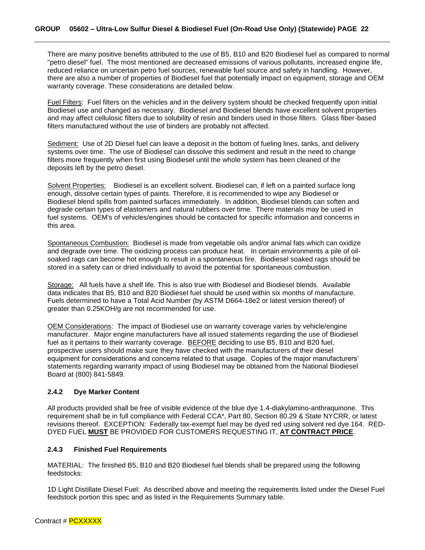There are many positive benefits attributed to the use of B5, B10 and B20 Biodiesel fuel as compared to normal "petro diesel" fuel. The most mentioned are decreased emissions of various pollutants, increased engine life, reduced reliance on uncertain petro fuel sources, renewable fuel source and safety in handling. However, there are also a number of properties of Biodiesel fuel that potentially impact on equipment, storage and OEM warranty coverage. These considerations are detailed below.

Fuel Filters: Fuel filters on the vehicles and in the delivery system should be checked frequently upon initial Biodiesel use and changed as necessary. Biodiesel and Biodiesel blends have excellent solvent properties and may affect cellulosic filters due to solubility of resin and binders used in those filters. Glass fiber-based filters manufactured without the use of binders are probably not affected.

Sediment: Use of 2D Diesel fuel can leave a deposit in the bottom of fueling lines, tanks, and delivery systems over time. The use of Biodiesel can dissolve this sediment and result in the need to change filters more frequently when first using Biodiesel until the whole system has been cleaned of the deposits left by the petro diesel.

Solvent Properties:Biodiesel is an excellent solvent. Biodiesel can, if left on a painted surface long enough, dissolve certain types of paints. Therefore, it is recommended to wipe any Biodiesel or Biodiesel blend spills from painted surfaces immediately. In addition, Biodiesel blends can soften and degrade certain types of elastomers and natural rubbers over time. There materials may be used in fuel systems. OEM's of vehicles/engines should be contacted for specific information and concerns in this area.

Spontaneous Combustion: Biodiesel is made from vegetable oils and/or animal fats which can oxidize and degrade over time. The oxidizing process can produce heat. In certain environments a pile of oilsoaked rags can become hot enough to result in a spontaneous fire. Biodiesel soaked rags should be stored in a safety can or dried individually to avoid the potential for spontaneous combustion.

Storage: All fuels have a shelf life. This is also true with Biodiesel and Biodiesel blends. Available data indicates that B5, B10 and B20 Biodiesel fuel should be used within six months of manufacture. Fuels determined to have a Total Acid Number (by ASTM D664-18e2 or latest version thereof) of greater than 0.25KOH/g are not recommended for use.

OEM Considerations: The impact of Biodiesel use on warranty coverage varies by vehicle/engine manufacturer. Major engine manufacturers have all issued statements regarding the use of Biodiesel fuel as it pertains to their warranty coverage. BEFORE deciding to use B5, B10 and B20 fuel, prospective users should make sure they have checked with the manufacturers of their diesel equipment for considerations and concerns related to that usage. Copies of the major manufacturers' statements regarding warranty impact of using Biodiesel may be obtained from the National Biodiesel Board at (800) 841-5849.

#### <span id="page-21-0"></span>**2.4.2 Dye Marker Content**

All products provided shall be free of visible evidence of the blue dye 1.4-diakylamino-anthraquinone. This requirement shall be in full compliance with Federal CCA\*, Part 80, Section 80.29 & State NYCRR, or latest revisions thereof. EXCEPTION: Federally tax-exempt fuel may be dyed red using solvent red dye 164. RED-DYED FUEL **MUST** BE PROVIDED FOR CUSTOMERS REQUESTING IT, **AT CONTRACT PRICE**.

#### <span id="page-21-1"></span>**2.4.3 Finished Fuel Requirements**

MATERIAL: The finished B5, B10 and B20 Biodiesel fuel blends shall be prepared using the following feedstocks:

1D Light Distillate Diesel Fuel: As described above and meeting the requirements listed under the Diesel Fuel feedstock portion this spec and as listed in the Requirements Summary table.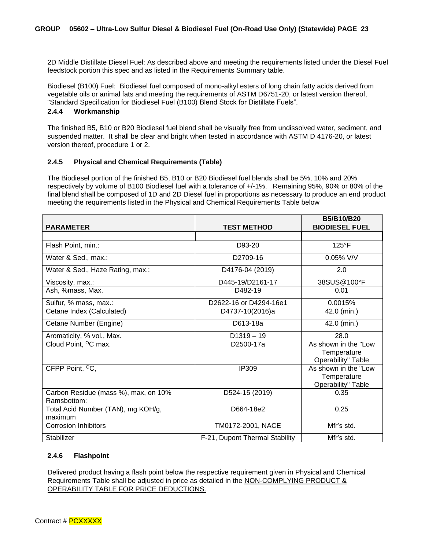2D Middle Distillate Diesel Fuel: As described above and meeting the requirements listed under the Diesel Fuel feedstock portion this spec and as listed in the Requirements Summary table.

Biodiesel (B100) Fuel: Biodiesel fuel composed of mono-alkyl esters of long chain fatty acids derived from vegetable oils or animal fats and meeting the requirements of ASTM D6751-20, or latest version thereof, "Standard Specification for Biodiesel Fuel (B100) Blend Stock for Distillate Fuels".

#### <span id="page-22-0"></span>**2.4.4 Workmanship**

The finished B5, B10 or B20 Biodiesel fuel blend shall be visually free from undissolved water, sediment, and suspended matter. It shall be clear and bright when tested in accordance with ASTM D 4176-20, or latest version thereof, procedure 1 or 2.

#### <span id="page-22-1"></span>**2.4.5 Physical and Chemical Requirements (Table)**

The Biodiesel portion of the finished B5, B10 or B20 Biodiesel fuel blends shall be 5%, 10% and 20% respectively by volume of B100 Biodiesel fuel with a tolerance of +/-1%. Remaining 95%, 90% or 80% of the final blend shall be composed of 1D and 2D Diesel fuel in proportions as necessary to produce an end product meeting the requirements listed in the Physical and Chemical Requirements Table below

| <b>PARAMETER</b>                                    | <b>TEST METHOD</b>             | <b>B5/B10/B20</b><br><b>BIODIESEL FUEL</b>                       |
|-----------------------------------------------------|--------------------------------|------------------------------------------------------------------|
|                                                     |                                |                                                                  |
| Flash Point, min.:                                  | D93-20                         | $125^{\circ}F$                                                   |
| Water & Sed., max.:                                 | D2709-16                       | 0.05% V/V                                                        |
| Water & Sed., Haze Rating, max.:                    | D4176-04 (2019)                | 2.0                                                              |
| Viscosity, max.:                                    | D445-19/D2161-17               | 38SUS@100°F                                                      |
| Ash, %mass, Max.                                    | D482-19                        | 0.01                                                             |
| Sulfur, % mass, max.:                               | D2622-16 or D4294-16e1         | 0.0015%                                                          |
| Cetane Index (Calculated)                           | D4737-10(2016)a                | 42.0 (min.)                                                      |
| Cetane Number (Engine)                              | D613-18a                       | 42.0 (min.)                                                      |
| Aromaticity, % vol., Max.                           | $D1319 - 19$                   | 28.0                                                             |
| Cloud Point, <sup>o</sup> C max.                    | D2500-17a                      | As shown in the "Low<br>Temperature<br>Operability" Table        |
| CFPP Point, <sup>O</sup> C,                         | IP309                          | As shown in the "Low<br>Temperature<br><b>Operability" Table</b> |
| Carbon Residue (mass %), max, on 10%<br>Ramsbottom: | D524-15 (2019)                 | 0.35                                                             |
| Total Acid Number (TAN), mg KOH/g,<br>maximum       | D664-18e2                      | 0.25                                                             |
| <b>Corrosion Inhibitors</b>                         | TM0172-2001, NACE              | Mfr's std.                                                       |
| Stabilizer                                          | F-21, Dupont Thermal Stability | Mfr's std.                                                       |

#### <span id="page-22-2"></span>**2.4.6 Flashpoint**

Delivered product having a flash point below the respective requirement given in Physical and Chemical Requirements Table shall be adjusted in price as detailed in the NON-COMPLYING PRODUCT & OPERABILITY TABLE FOR PRICE DEDUCTIONS.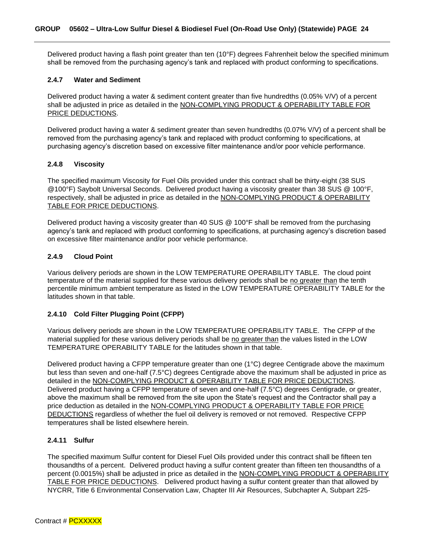Delivered product having a flash point greater than ten (10°F) degrees Fahrenheit below the specified minimum shall be removed from the purchasing agency's tank and replaced with product conforming to specifications.

#### <span id="page-23-0"></span>**2.4.7 Water and Sediment**

Delivered product having a water & sediment content greater than five hundredths (0.05% V/V) of a percent shall be adjusted in price as detailed in the NON-COMPLYING PRODUCT & OPERABILITY TABLE FOR PRICE DEDUCTIONS.

Delivered product having a water & sediment greater than seven hundredths (0.07% V/V) of a percent shall be removed from the purchasing agency's tank and replaced with product conforming to specifications, at purchasing agency's discretion based on excessive filter maintenance and/or poor vehicle performance.

#### <span id="page-23-1"></span>**2.4.8 Viscosity**

The specified maximum Viscosity for Fuel Oils provided under this contract shall be thirty-eight (38 SUS @100°F) Saybolt Universal Seconds. Delivered product having a viscosity greater than 38 SUS @ 100°F, respectively, shall be adjusted in price as detailed in the NON-COMPLYING PRODUCT & OPERABILITY TABLE FOR PRICE DEDUCTIONS.

Delivered product having a viscosity greater than 40 SUS @ 100°F shall be removed from the purchasing agency's tank and replaced with product conforming to specifications, at purchasing agency's discretion based on excessive filter maintenance and/or poor vehicle performance.

#### <span id="page-23-2"></span>**2.4.9 Cloud Point**

Various delivery periods are shown in the LOW TEMPERATURE OPERABILITY TABLE. The cloud point temperature of the material supplied for these various delivery periods shall be no greater than the tenth percentile minimum ambient temperature as listed in the LOW TEMPERATURE OPERABILITY TABLE for the latitudes shown in that table.

#### <span id="page-23-3"></span>**2.4.10 Cold Filter Plugging Point (CFPP)**

Various delivery periods are shown in the LOW TEMPERATURE OPERABILITY TABLE. The CFPP of the material supplied for these various delivery periods shall be no greater than the values listed in the LOW TEMPERATURE OPERABILITY TABLE for the latitudes shown in that table.

Delivered product having a CFPP temperature greater than one (1°C) degree Centigrade above the maximum but less than seven and one-half (7.5°C) degrees Centigrade above the maximum shall be adjusted in price as detailed in the NON-COMPLYING PRODUCT & OPERABILITY TABLE FOR PRICE DEDUCTIONS. Delivered product having a CFPP temperature of seven and one-half (7.5°C) degrees Centigrade, or greater, above the maximum shall be removed from the site upon the State's request and the Contractor shall pay a price deduction as detailed in the NON-COMPLYING PRODUCT & OPERABILITY TABLE FOR PRICE DEDUCTIONS regardless of whether the fuel oil delivery is removed or not removed. Respective CFPP temperatures shall be listed elsewhere herein.

#### <span id="page-23-4"></span>**2.4.11 Sulfur**

The specified maximum Sulfur content for Diesel Fuel Oils provided under this contract shall be fifteen ten thousandths of a percent. Delivered product having a sulfur content greater than fifteen ten thousandths of a percent (0.0015%) shall be adjusted in price as detailed in the NON-COMPLYING PRODUCT & OPERABILITY TABLE FOR PRICE DEDUCTIONS. Delivered product having a sulfur content greater than that allowed by NYCRR, Title 6 Environmental Conservation Law, Chapter III Air Resources, Subchapter A, Subpart 225-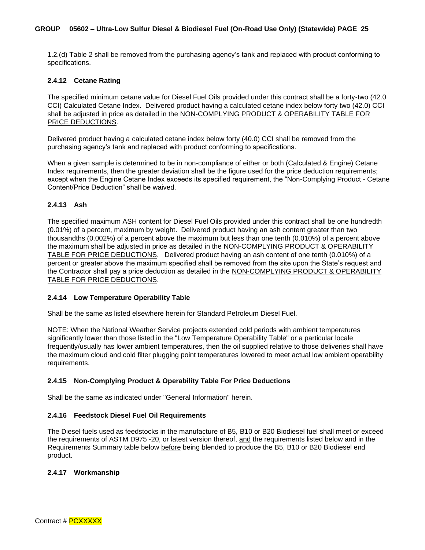1.2.(d) Table 2 shall be removed from the purchasing agency's tank and replaced with product conforming to specifications.

#### <span id="page-24-0"></span>**2.4.12 Cetane Rating**

The specified minimum cetane value for Diesel Fuel Oils provided under this contract shall be a forty-two (42.0 CCI) Calculated Cetane Index. Delivered product having a calculated cetane index below forty two (42.0) CCI shall be adjusted in price as detailed in the NON-COMPLYING PRODUCT & OPERABILITY TABLE FOR PRICE DEDUCTIONS.

Delivered product having a calculated cetane index below forty (40.0) CCI shall be removed from the purchasing agency's tank and replaced with product conforming to specifications.

When a given sample is determined to be in non-compliance of either or both (Calculated & Engine) Cetane Index requirements, then the greater deviation shall be the figure used for the price deduction requirements; except when the Engine Cetane Index exceeds its specified requirement, the "Non-Complying Product - Cetane Content/Price Deduction" shall be waived.

#### <span id="page-24-1"></span>**2.4.13 Ash**

The specified maximum ASH content for Diesel Fuel Oils provided under this contract shall be one hundredth (0.01%) of a percent, maximum by weight. Delivered product having an ash content greater than two thousandths (0.002%) of a percent above the maximum but less than one tenth (0.010%) of a percent above the maximum shall be adjusted in price as detailed in the NON-COMPLYING PRODUCT & OPERABILITY TABLE FOR PRICE DEDUCTIONS. Delivered product having an ash content of one tenth (0.010%) of a percent or greater above the maximum specified shall be removed from the site upon the State's request and the Contractor shall pay a price deduction as detailed in the NON-COMPLYING PRODUCT & OPERABILITY TABLE FOR PRICE DEDUCTIONS.

#### <span id="page-24-2"></span>**2.4.14 Low Temperature Operability Table**

Shall be the same as listed elsewhere herein for Standard Petroleum Diesel Fuel.

NOTE: When the National Weather Service projects extended cold periods with ambient temperatures significantly lower than those listed in the "Low Temperature Operability Table" or a particular locale frequently/usually has lower ambient temperatures, then the oil supplied relative to those deliveries shall have the maximum cloud and cold filter plugging point temperatures lowered to meet actual low ambient operability requirements.

#### <span id="page-24-3"></span>**2.4.15 Non-Complying Product & Operability Table For Price Deductions**

Shall be the same as indicated under "General Information" herein.

#### <span id="page-24-4"></span>**2.4.16 Feedstock Diesel Fuel Oil Requirements**

The Diesel fuels used as feedstocks in the manufacture of B5, B10 or B20 Biodiesel fuel shall meet or exceed the requirements of ASTM D975 -20, or latest version thereof, and the requirements listed below and in the Requirements Summary table below before being blended to produce the B5, B10 or B20 Biodiesel end product.

#### <span id="page-24-5"></span>**2.4.17 Workmanship**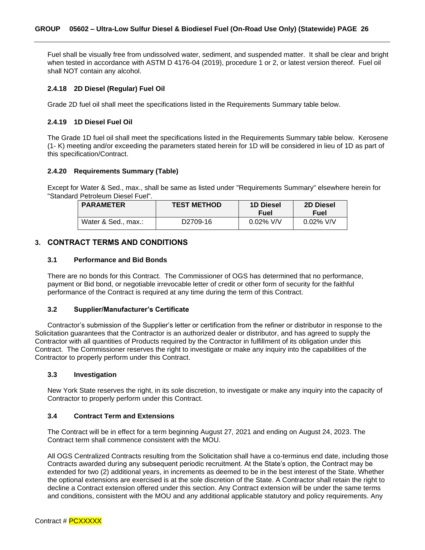Fuel shall be visually free from undissolved water, sediment, and suspended matter. It shall be clear and bright when tested in accordance with ASTM D 4176-04 (2019), procedure 1 or 2, or latest version thereof. Fuel oil shall NOT contain any alcohol.

#### <span id="page-25-0"></span>**2.4.18 2D Diesel (Regular) Fuel Oil**

Grade 2D fuel oil shall meet the specifications listed in the Requirements Summary table below.

#### <span id="page-25-1"></span>**2.4.19 1D Diesel Fuel Oil**

The Grade 1D fuel oil shall meet the specifications listed in the Requirements Summary table below. Kerosene (1- K) meeting and/or exceeding the parameters stated herein for 1D will be considered in lieu of 1D as part of this specification/Contract.

#### <span id="page-25-2"></span>**2.4.20 Requirements Summary (Table)**

Except for Water & Sed., max., shall be same as listed under "Requirements Summary" elsewhere herein for "Standard Petroleum Diesel Fuel".

| <b>PARAMETER</b>    | <b>TEST METHOD</b>    | <b>1D Diesel</b> | <b>2D Diesel</b> |
|---------------------|-----------------------|------------------|------------------|
|                     |                       | Fuel             | Fuel             |
| Water & Sed., max.: | D <sub>2709</sub> -16 | $0.02\%$ V/V     | $0.02\%$ V/V     |

### <span id="page-25-3"></span>**3. CONTRACT TERMS AND CONDITIONS**

#### <span id="page-25-4"></span>**3.1 Performance and Bid Bonds**

There are no bonds for this Contract. The Commissioner of OGS has determined that no performance, payment or Bid bond, or negotiable irrevocable letter of credit or other form of security for the faithful performance of the Contract is required at any time during the term of this Contract.

#### <span id="page-25-5"></span>**3.2 Supplier/Manufacturer's Certificate**

Contractor's submission of the Supplier's letter or certification from the refiner or distributor in response to the Solicitation guarantees that the Contractor is an authorized dealer or distributor, and has agreed to supply the Contractor with all quantities of Products required by the Contractor in fulfillment of its obligation under this Contract. The Commissioner reserves the right to investigate or make any inquiry into the capabilities of the Contractor to properly perform under this Contract.

#### <span id="page-25-6"></span>**3.3 Investigation**

New York State reserves the right, in its sole discretion, to investigate or make any inquiry into the capacity of Contractor to properly perform under this Contract.

#### <span id="page-25-7"></span>**3.4 Contract Term and Extensions**

The Contract will be in effect for a term beginning August 27, 2021 and ending on August 24, 2023. The Contract term shall commence consistent with the MOU.

All OGS Centralized Contracts resulting from the Solicitation shall have a co-terminus end date, including those Contracts awarded during any subsequent periodic recruitment. At the State's option, the Contract may be extended for two (2) additional years, in increments as deemed to be in the best interest of the State. Whether the optional extensions are exercised is at the sole discretion of the State. A Contractor shall retain the right to decline a Contract extension offered under this section. Any Contract extension will be under the same terms and conditions, consistent with the MOU and any additional applicable statutory and policy requirements. Any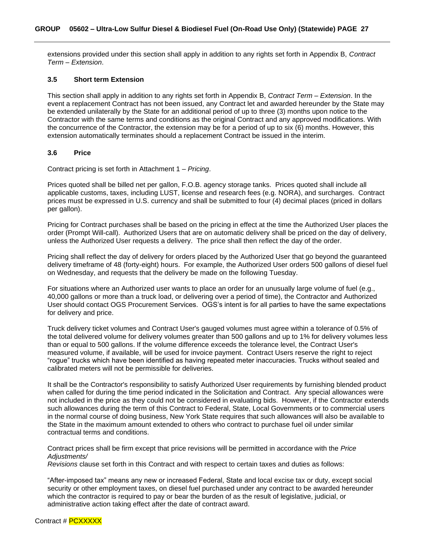extensions provided under this section shall apply in addition to any rights set forth in Appendix B, *Contract Term – Extension*.

#### <span id="page-26-0"></span>**3.5 Short term Extension**

This section shall apply in addition to any rights set forth in Appendix B, *Contract Term – Extension*. In the event a replacement Contract has not been issued, any Contract let and awarded hereunder by the State may be extended unilaterally by the State for an additional period of up to three (3) months upon notice to the Contractor with the same terms and conditions as the original Contract and any approved modifications. With the concurrence of the Contractor, the extension may be for a period of up to six (6) months. However, this extension automatically terminates should a replacement Contract be issued in the interim.

#### <span id="page-26-1"></span>**3.6 Price**

Contract pricing is set forth in Attachment 1 – *Pricing*.

Prices quoted shall be billed net per gallon, F.O.B. agency storage tanks. Prices quoted shall include all applicable customs, taxes, including LUST, license and research fees (e.g. NORA), and surcharges. Contract prices must be expressed in U.S. currency and shall be submitted to four (4) decimal places (priced in dollars per gallon).

Pricing for Contract purchases shall be based on the pricing in effect at the time the Authorized User places the order (Prompt Will-call). Authorized Users that are on automatic delivery shall be priced on the day of delivery, unless the Authorized User requests a delivery. The price shall then reflect the day of the order.

Pricing shall reflect the day of delivery for orders placed by the Authorized User that go beyond the guaranteed delivery timeframe of 48 (forty-eight) hours. For example, the Authorized User orders 500 gallons of diesel fuel on Wednesday, and requests that the delivery be made on the following Tuesday.

For situations where an Authorized user wants to place an order for an unusually large volume of fuel (e.g., 40,000 gallons or more than a truck load, or delivering over a period of time), the Contractor and Authorized User should contact OGS Procurement Services. OGS's intent is for all parties to have the same expectations for delivery and price.

Truck delivery ticket volumes and Contract User's gauged volumes must agree within a tolerance of 0.5% of the total delivered volume for delivery volumes greater than 500 gallons and up to 1% for delivery volumes less than or equal to 500 gallons. If the volume difference exceeds the tolerance level, the Contract User's measured volume, if available, will be used for invoice payment. Contract Users reserve the right to reject "rogue" trucks which have been identified as having repeated meter inaccuracies. Trucks without sealed and calibrated meters will not be permissible for deliveries.

It shall be the Contractor's responsibility to satisfy Authorized User requirements by furnishing blended product when called for during the time period indicated in the Solicitation and Contract. Any special allowances were not included in the price as they could not be considered in evaluating bids. However, if the Contractor extends such allowances during the term of this Contract to Federal, State, Local Governments or to commercial users in the normal course of doing business, New York State requires that such allowances will also be available to the State in the maximum amount extended to others who contract to purchase fuel oil under similar contractual terms and conditions.

Contract prices shall be firm except that price revisions will be permitted in accordance with the *Price Adjustments/*

*Revisions* clause set forth in this Contract and with respect to certain taxes and duties as follows:

"After-imposed tax" means any new or increased Federal, State and local excise tax or duty, except social security or other employment taxes, on diesel fuel purchased under any contract to be awarded hereunder which the contractor is required to pay or bear the burden of as the result of legislative, judicial, or administrative action taking effect after the date of contract award.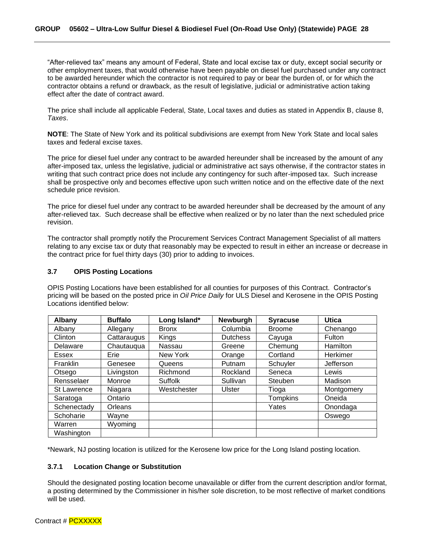"After-relieved tax" means any amount of Federal, State and local excise tax or duty, except social security or other employment taxes, that would otherwise have been payable on diesel fuel purchased under any contract to be awarded hereunder which the contractor is not required to pay or bear the burden of, or for which the contractor obtains a refund or drawback, as the result of legislative, judicial or administrative action taking effect after the date of contract award.

The price shall include all applicable Federal, State, Local taxes and duties as stated in Appendix B, clause 8, *Taxes*.

**NOTE**: The State of New York and its political subdivisions are exempt from New York State and local sales taxes and federal excise taxes.

The price for diesel fuel under any contract to be awarded hereunder shall be increased by the amount of any after-imposed tax, unless the legislative, judicial or administrative act says otherwise, if the contractor states in writing that such contract price does not include any contingency for such after-imposed tax. Such increase shall be prospective only and becomes effective upon such written notice and on the effective date of the next schedule price revision.

The price for diesel fuel under any contract to be awarded hereunder shall be decreased by the amount of any after-relieved tax. Such decrease shall be effective when realized or by no later than the next scheduled price revision.

The contractor shall promptly notify the Procurement Services Contract Management Specialist of all matters relating to any excise tax or duty that reasonably may be expected to result in either an increase or decrease in the contract price for fuel thirty days (30) prior to adding to invoices.

#### <span id="page-27-0"></span>**3.7 OPIS Posting Locations**

OPIS Posting Locations have been established for all counties for purposes of this Contract. Contractor's pricing will be based on the posted price in *Oil Price Daily* for ULS Diesel and Kerosene in the OPIS Posting Locations identified below:

| <b>Albany</b>      | <b>Buffalo</b> | Long Island*   | Newburgh        | <b>Syracuse</b> | <b>Utica</b>  |
|--------------------|----------------|----------------|-----------------|-----------------|---------------|
| Albany             | Allegany       | <b>Bronx</b>   | Columbia        | <b>Broome</b>   | Chenango      |
| Clinton            | Cattaraugus    | Kings          | <b>Dutchess</b> | Cayuga          | <b>Fulton</b> |
| Delaware           | Chautauqua     | Nassau         | Greene          | Chemung         | Hamilton      |
| <b>Essex</b>       | Erie           | New York       | Orange          | Cortland        | Herkimer      |
| Franklin           | Genesee        | Queens         | Putnam          | Schuyler        | Jefferson     |
| Otsego             | Livingston     | Richmond       | Rockland        | Seneca          | Lewis         |
| Rensselaer         | Monroe         | <b>Suffolk</b> | Sullivan        | Steuben         | Madison       |
| <b>St Lawrence</b> | Niagara        | Westchester    | <b>Ulster</b>   | Tioga           | Montgomery    |
| Saratoga           | Ontario        |                |                 | <b>Tompkins</b> | Oneida        |
| Schenectady        | Orleans        |                |                 | Yates           | Onondaga      |
| Schoharie          | Wayne          |                |                 |                 | Oswego        |
| Warren             | Wyoming        |                |                 |                 |               |
| Washington         |                |                |                 |                 |               |

\*Newark, NJ posting location is utilized for the Kerosene low price for the Long Island posting location.

#### <span id="page-27-1"></span>**3.7.1 Location Change or Substitution**

Should the designated posting location become unavailable or differ from the current description and/or format, a posting determined by the Commissioner in his/her sole discretion, to be most reflective of market conditions will be used.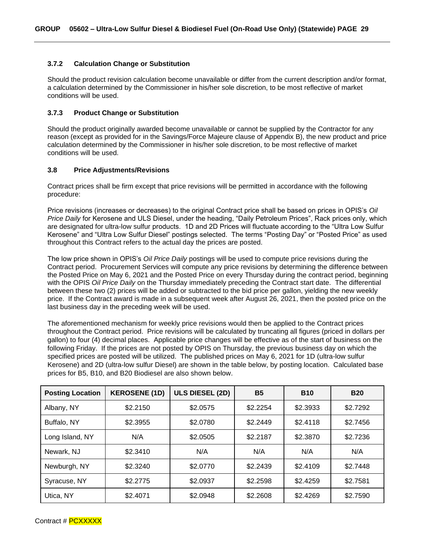#### <span id="page-28-0"></span>**3.7.2 Calculation Change or Substitution**

Should the product revision calculation become unavailable or differ from the current description and/or format, a calculation determined by the Commissioner in his/her sole discretion, to be most reflective of market conditions will be used.

#### <span id="page-28-1"></span>**3.7.3 Product Change or Substitution**

Should the product originally awarded become unavailable or cannot be supplied by the Contractor for any reason (except as provided for in the Savings/Force Majeure clause of Appendix B), the new product and price calculation determined by the Commissioner in his/her sole discretion, to be most reflective of market conditions will be used.

#### <span id="page-28-2"></span>**3.8 Price Adjustments/Revisions**

Contract prices shall be firm except that price revisions will be permitted in accordance with the following procedure:

Price revisions (increases or decreases) to the original Contract price shall be based on prices in OPIS's *Oil Price Daily* for Kerosene and ULS Diesel, under the heading, "Daily Petroleum Prices", Rack prices only, which are designated for ultra-low sulfur products. 1D and 2D Prices will fluctuate according to the "Ultra Low Sulfur Kerosene" and "Ultra Low Sulfur Diesel" postings selected. The terms "Posting Day" or "Posted Price" as used throughout this Contract refers to the actual day the prices are posted.

The low price shown in OPIS's *Oil Price Daily* postings will be used to compute price revisions during the Contract period. Procurement Services will compute any price revisions by determining the difference between the Posted Price on May 6, 2021 and the Posted Price on every Thursday during the contract period, beginning with the OPIS *Oil Price Daily* on the Thursday immediately preceding the Contract start date. The differential between these two (2) prices will be added or subtracted to the bid price per gallon, yielding the new weekly price. If the Contract award is made in a subsequent week after August 26, 2021, then the posted price on the last business day in the preceding week will be used.

The aforementioned mechanism for weekly price revisions would then be applied to the Contract prices throughout the Contract period. Price revisions will be calculated by truncating all figures (priced in dollars per gallon) to four (4) decimal places. Applicable price changes will be effective as of the start of business on the following Friday. If the prices are not posted by OPIS on Thursday, the previous business day on which the specified prices are posted will be utilized. The published prices on May 6, 2021 for 1D (ultra-low sulfur Kerosene) and 2D (ultra-low sulfur Diesel) are shown in the table below, by posting location. Calculated base prices for B5, B10, and B20 Biodiesel are also shown below.

| <b>Posting Location</b> | <b>KEROSENE (1D)</b> | <b>ULS DIESEL (2D)</b> | <b>B5</b> | <b>B10</b> | <b>B20</b> |  |
|-------------------------|----------------------|------------------------|-----------|------------|------------|--|
| Albany, NY              | \$2.2150             | \$2.0575               | \$2.2254  | \$2.3933   | \$2.7292   |  |
| Buffalo, NY             | \$2.3955             | \$2.0780               | \$2.2449  | \$2.4118   | \$2.7456   |  |
| Long Island, NY         | N/A                  | \$2.0505               | \$2.2187  | \$2.3870   | \$2.7236   |  |
| Newark, NJ              | \$2.3410             | N/A                    | N/A       | N/A        | N/A        |  |
| Newburgh, NY            | \$2.3240             | \$2.0770               | \$2.2439  | \$2.4109   | \$2.7448   |  |
| Syracuse, NY            | \$2.2775             | \$2.0937               | \$2.2598  | \$2.4259   | \$2.7581   |  |
| Utica, NY               | \$2.4071             | \$2.0948               | \$2.2608  | \$2.4269   | \$2.7590   |  |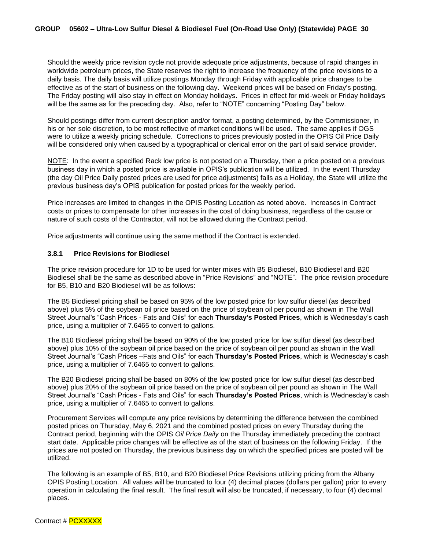Should the weekly price revision cycle not provide adequate price adjustments, because of rapid changes in worldwide petroleum prices, the State reserves the right to increase the frequency of the price revisions to a daily basis. The daily basis will utilize postings Monday through Friday with applicable price changes to be effective as of the start of business on the following day. Weekend prices will be based on Friday's posting. The Friday posting will also stay in effect on Monday holidays. Prices in effect for mid-week or Friday holidays will be the same as for the preceding day. Also, refer to "NOTE" concerning "Posting Day" below.

Should postings differ from current description and/or format, a posting determined, by the Commissioner, in his or her sole discretion, to be most reflective of market conditions will be used. The same applies if OGS were to utilize a weekly pricing schedule. Corrections to prices previously posted in the OPIS Oil Price Daily will be considered only when caused by a typographical or clerical error on the part of said service provider.

NOTE: In the event a specified Rack low price is not posted on a Thursday, then a price posted on a previous business day in which a posted price is available in OPIS's publication will be utilized. In the event Thursday (the day Oil Price Daily posted prices are used for price adjustments) falls as a Holiday, the State will utilize the previous business day's OPIS publication for posted prices for the weekly period.

Price increases are limited to changes in the OPIS Posting Location as noted above. Increases in Contract costs or prices to compensate for other increases in the cost of doing business, regardless of the cause or nature of such costs of the Contractor, will not be allowed during the Contract period.

Price adjustments will continue using the same method if the Contract is extended.

#### <span id="page-29-0"></span>**3.8.1 Price Revisions for Biodiesel**

The price revision procedure for 1D to be used for winter mixes with B5 Biodiesel, B10 Biodiesel and B20 Biodiesel shall be the same as described above in "Price Revisions" and "NOTE". The price revision procedure for B5, B10 and B20 Biodiesel will be as follows:

The B5 Biodiesel pricing shall be based on 95% of the low posted price for low sulfur diesel (as described above) plus 5% of the soybean oil price based on the price of soybean oil per pound as shown in The Wall Street Journal's "Cash Prices - Fats and Oils" for each **Thursday's Posted Prices**, which is Wednesday's cash price, using a multiplier of 7.6465 to convert to gallons.

The B10 Biodiesel pricing shall be based on 90% of the low posted price for low sulfur diesel (as described above) plus 10% of the soybean oil price based on the price of soybean oil per pound as shown in the Wall Street Journal's "Cash Prices –Fats and Oils" for each **Thursday's Posted Prices**, which is Wednesday's cash price, using a multiplier of 7.6465 to convert to gallons.

The B20 Biodiesel pricing shall be based on 80% of the low posted price for low sulfur diesel (as described above) plus 20% of the soybean oil price based on the price of soybean oil per pound as shown in The Wall Street Journal's "Cash Prices - Fats and Oils" for each **Thursday's Posted Prices**, which is Wednesday's cash price, using a multiplier of 7.6465 to convert to gallons.

Procurement Services will compute any price revisions by determining the difference between the combined posted prices on Thursday, May 6, 2021 and the combined posted prices on every Thursday during the Contract period, beginning with the OPIS *Oil Price Daily* on the Thursday immediately preceding the contract start date. Applicable price changes will be effective as of the start of business on the following Friday. If the prices are not posted on Thursday, the previous business day on which the specified prices are posted will be utilized.

The following is an example of B5, B10, and B20 Biodiesel Price Revisions utilizing pricing from the Albany OPIS Posting Location. All values will be truncated to four (4) decimal places (dollars per gallon) prior to every operation in calculating the final result. The final result will also be truncated, if necessary, to four (4) decimal places.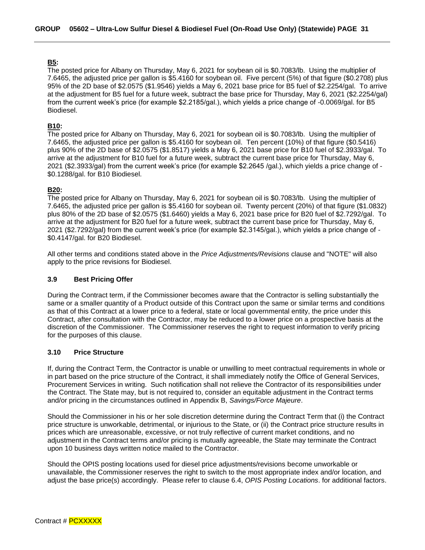#### **B5:**

The posted price for Albany on Thursday, May 6, 2021 for soybean oil is \$0.7083/lb. Using the multiplier of 7.6465, the adjusted price per gallon is \$5.4160 for soybean oil. Five percent (5%) of that figure (\$0.2708) plus 95% of the 2D base of \$2.0575 (\$1.9546) yields a May 6, 2021 base price for B5 fuel of \$2.2254/gal. To arrive at the adjustment for B5 fuel for a future week, subtract the base price for Thursday, May 6, 2021 (\$2.2254/gal) from the current week's price (for example \$2.2185/gal.), which yields a price change of -0.0069/gal. for B5 Biodiesel.

#### **B10:**

The posted price for Albany on Thursday, May 6, 2021 for soybean oil is \$0.7083/lb. Using the multiplier of 7.6465, the adjusted price per gallon is \$5.4160 for soybean oil. Ten percent (10%) of that figure (\$0.5416) plus 90% of the 2D base of \$2.0575 (\$1.8517) yields a May 6, 2021 base price for B10 fuel of \$2.3933/gal. To arrive at the adjustment for B10 fuel for a future week, subtract the current base price for Thursday, May 6, 2021 (\$2.3933/gal) from the current week's price (for example \$2.2645 /gal.), which yields a price change of - \$0.1288/gal. for B10 Biodiesel.

#### **B20:**

The posted price for Albany on Thursday, May 6, 2021 for soybean oil is \$0.7083/lb. Using the multiplier of 7.6465, the adjusted price per gallon is \$5.4160 for soybean oil. Twenty percent (20%) of that figure (\$1.0832) plus 80% of the 2D base of \$2.0575 (\$1.6460) yields a May 6, 2021 base price for B20 fuel of \$2.7292/gal. To arrive at the adjustment for B20 fuel for a future week, subtract the current base price for Thursday, May 6, 2021 (\$2.7292/gal) from the current week's price (for example \$2.3145/gal.), which yields a price change of - \$0.4147/gal. for B20 Biodiesel.

All other terms and conditions stated above in the *Price Adjustments/Revisions* clause and "NOTE" will also apply to the price revisions for Biodiesel.

#### <span id="page-30-0"></span>**3.9 Best Pricing Offer**

During the Contract term, if the Commissioner becomes aware that the Contractor is selling substantially the same or a smaller quantity of a Product outside of this Contract upon the same or similar terms and conditions as that of this Contract at a lower price to a federal, state or local governmental entity, the price under this Contract, after consultation with the Contractor, may be reduced to a lower price on a prospective basis at the discretion of the Commissioner. The Commissioner reserves the right to request information to verify pricing for the purposes of this clause.

#### <span id="page-30-1"></span>**3.10 Price Structure**

If, during the Contract Term, the Contractor is unable or unwilling to meet contractual requirements in whole or in part based on the price structure of the Contract, it shall immediately notify the Office of General Services, Procurement Services in writing. Such notification shall not relieve the Contractor of its responsibilities under the Contract. The State may, but is not required to, consider an equitable adjustment in the Contract terms and/or pricing in the circumstances outlined in Appendix B, *Savings/Force Majeure*.

Should the Commissioner in his or her sole discretion determine during the Contract Term that (i) the Contract price structure is unworkable, detrimental, or injurious to the State, or (ii) the Contract price structure results in prices which are unreasonable, excessive, or not truly reflective of current market conditions, and no adjustment in the Contract terms and/or pricing is mutually agreeable, the State may terminate the Contract upon 10 business days written notice mailed to the Contractor.

Should the OPIS posting locations used for diesel price adjustments/revisions become unworkable or unavailable, the Commissioner reserves the right to switch to the most appropriate index and/or location, and adjust the base price(s) accordingly. Please refer to clause 6.4, *OPIS Posting Locations*. for additional factors.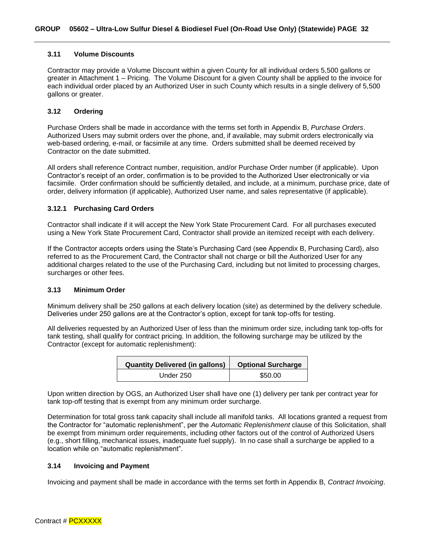#### <span id="page-31-0"></span>**3.11 Volume Discounts**

Contractor may provide a Volume Discount within a given County for all individual orders 5,500 gallons or greater in Attachment 1 – Pricing. The Volume Discount for a given County shall be applied to the invoice for each individual order placed by an Authorized User in such County which results in a single delivery of 5,500 gallons or greater.

#### <span id="page-31-1"></span>**3.12 Ordering**

Purchase Orders shall be made in accordance with the terms set forth in Appendix B, *Purchase Orders*. Authorized Users may submit orders over the phone, and, if available, may submit orders electronically via web-based ordering, e-mail, or facsimile at any time. Orders submitted shall be deemed received by Contractor on the date submitted.

All orders shall reference Contract number, requisition, and/or Purchase Order number (if applicable). Upon Contractor's receipt of an order, confirmation is to be provided to the Authorized User electronically or via facsimile. Order confirmation should be sufficiently detailed, and include, at a minimum, purchase price, date of order, delivery information (if applicable), Authorized User name, and sales representative (if applicable).

#### <span id="page-31-2"></span>**3.12.1 Purchasing Card Orders**

Contractor shall indicate if it will accept the New York State Procurement Card. For all purchases executed using a New York State Procurement Card, Contractor shall provide an itemized receipt with each delivery.

If the Contractor accepts orders using the State's Purchasing Card (see Appendix B, Purchasing Card), also referred to as the Procurement Card, the Contractor shall not charge or bill the Authorized User for any additional charges related to the use of the Purchasing Card, including but not limited to processing charges, surcharges or other fees.

#### <span id="page-31-3"></span>**3.13 Minimum Order**

Minimum delivery shall be 250 gallons at each delivery location (site) as determined by the delivery schedule. Deliveries under 250 gallons are at the Contractor's option, except for tank top-offs for testing.

All deliveries requested by an Authorized User of less than the minimum order size, including tank top-offs for tank testing, shall qualify for contract pricing. In addition, the following surcharge may be utilized by the Contractor (except for automatic replenishment):

| Quantity Delivered (in gallons) | <b>Optional Surcharge</b> |  |  |  |  |
|---------------------------------|---------------------------|--|--|--|--|
| Under 250                       | \$50.00                   |  |  |  |  |

Upon written direction by OGS, an Authorized User shall have one (1) delivery per tank per contract year for tank top-off testing that is exempt from any minimum order surcharge.

Determination for total gross tank capacity shall include all manifold tanks. All locations granted a request from the Contractor for "automatic replenishment", per the *Automatic Replenishment* clause of this Solicitation, shall be exempt from minimum order requirements, including other factors out of the control of Authorized Users (e.g., short filling, mechanical issues, inadequate fuel supply). In no case shall a surcharge be applied to a location while on "automatic replenishment".

#### <span id="page-31-4"></span>**3.14 Invoicing and Payment**

Invoicing and payment shall be made in accordance with the terms set forth in Appendix B, *Contract Invoicing*.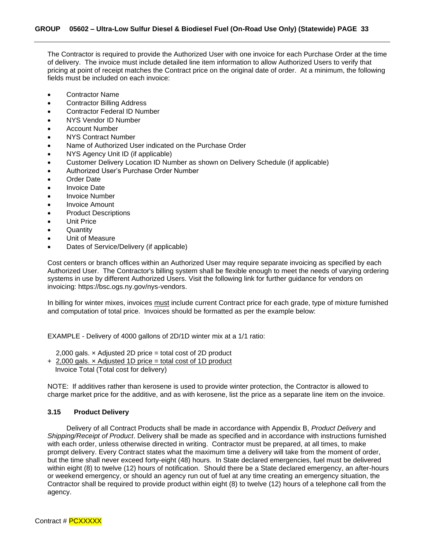The Contractor is required to provide the Authorized User with one invoice for each Purchase Order at the time of delivery. The invoice must include detailed line item information to allow Authorized Users to verify that pricing at point of receipt matches the Contract price on the original date of order. At a minimum, the following fields must be included on each invoice:

- Contractor Name
- Contractor Billing Address
- Contractor Federal ID Number
- NYS Vendor ID Number
- Account Number
- NYS Contract Number
- Name of Authorized User indicated on the Purchase Order
- NYS Agency Unit ID (if applicable)
- Customer Delivery Location ID Number as shown on Delivery Schedule (if applicable)
- Authorized User's Purchase Order Number
- Order Date
- Invoice Date
- Invoice Number
- Invoice Amount
- Product Descriptions
- Unit Price
- Quantity
- Unit of Measure
- Dates of Service/Delivery (if applicable)

Cost centers or branch offices within an Authorized User may require separate invoicing as specified by each Authorized User. The Contractor's billing system shall be flexible enough to meet the needs of varying ordering systems in use by different Authorized Users. Visit the following link for further guidance for vendors on invoicing: https://bsc.ogs.ny.gov/nys-vendors.

In billing for winter mixes, invoices must include current Contract price for each grade, type of mixture furnished and computation of total price. Invoices should be formatted as per the example below:

EXAMPLE - Delivery of 4000 gallons of 2D/1D winter mix at a 1/1 ratio:

2,000 gals. × Adjusted 2D price = total cost of 2D product

+ 2,000 gals. × Adjusted 1D price = total cost of 1D product Invoice Total (Total cost for delivery)

NOTE: If additives rather than kerosene is used to provide winter protection, the Contractor is allowed to charge market price for the additive, and as with kerosene, list the price as a separate line item on the invoice.

#### <span id="page-32-0"></span>**3.15 Product Delivery**

Delivery of all Contract Products shall be made in accordance with Appendix B, *Product Delivery* and *Shipping/Receipt of Product*. Delivery shall be made as specified and in accordance with instructions furnished with each order, unless otherwise directed in writing. Contractor must be prepared, at all times, to make prompt delivery. Every Contract states what the maximum time a delivery will take from the moment of order, but the time shall never exceed forty-eight (48) hours. In State declared emergencies, fuel must be delivered within eight (8) to twelve (12) hours of notification. Should there be a State declared emergency, an after-hours or weekend emergency, or should an agency run out of fuel at any time creating an emergency situation, the Contractor shall be required to provide product within eight (8) to twelve (12) hours of a telephone call from the agency.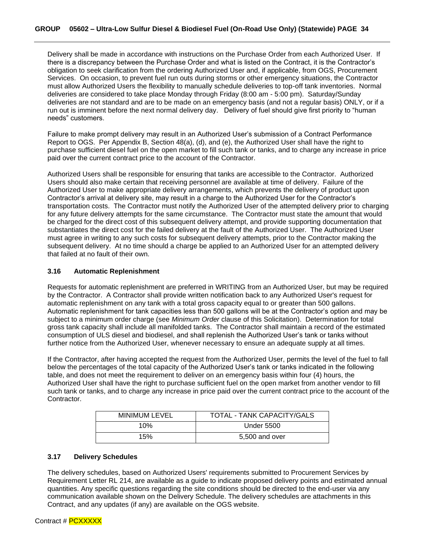Delivery shall be made in accordance with instructions on the Purchase Order from each Authorized User. If there is a discrepancy between the Purchase Order and what is listed on the Contract, it is the Contractor's obligation to seek clarification from the ordering Authorized User and, if applicable, from OGS, Procurement Services. On occasion, to prevent fuel run outs during storms or other emergency situations, the Contractor must allow Authorized Users the flexibility to manually schedule deliveries to top-off tank inventories. Normal deliveries are considered to take place Monday through Friday (8:00 am - 5:00 pm). Saturday/Sunday deliveries are not standard and are to be made on an emergency basis (and not a regular basis) ONLY, or if a run out is imminent before the next normal delivery day. Delivery of fuel should give first priority to "human needs" customers.

Failure to make prompt delivery may result in an Authorized User's submission of a Contract Performance Report to OGS. Per Appendix B, Section 48(a), (d), and (e), the Authorized User shall have the right to purchase sufficient diesel fuel on the open market to fill such tank or tanks, and to charge any increase in price paid over the current contract price to the account of the Contractor.

Authorized Users shall be responsible for ensuring that tanks are accessible to the Contractor. Authorized Users should also make certain that receiving personnel are available at time of delivery. Failure of the Authorized User to make appropriate delivery arrangements, which prevents the delivery of product upon Contractor's arrival at delivery site, may result in a charge to the Authorized User for the Contractor's transportation costs. The Contractor must notify the Authorized User of the attempted delivery prior to charging for any future delivery attempts for the same circumstance. The Contractor must state the amount that would be charged for the direct cost of this subsequent delivery attempt, and provide supporting documentation that substantiates the direct cost for the failed delivery at the fault of the Authorized User. The Authorized User must agree in writing to any such costs for subsequent delivery attempts, prior to the Contractor making the subsequent delivery. At no time should a charge be applied to an Authorized User for an attempted delivery that failed at no fault of their own.

#### <span id="page-33-0"></span>**3.16 Automatic Replenishment**

Requests for automatic replenishment are preferred in WRITING from an Authorized User, but may be required by the Contractor. A Contractor shall provide written notification back to any Authorized User's request for automatic replenishment on any tank with a total gross capacity equal to or greater than 500 gallons. Automatic replenishment for tank capacities less than 500 gallons will be at the Contractor's option and may be subject to a minimum order charge (see *Minimum Order* clause of this Solicitation). Determination for total gross tank capacity shall include all manifolded tanks. The Contractor shall maintain a record of the estimated consumption of ULS diesel and biodiesel, and shall replenish the Authorized User's tank or tanks without further notice from the Authorized User, whenever necessary to ensure an adequate supply at all times.

If the Contractor, after having accepted the request from the Authorized User, permits the level of the fuel to fall below the percentages of the total capacity of the Authorized User's tank or tanks indicated in the following table, and does not meet the requirement to deliver on an emergency basis within four (4) hours, the Authorized User shall have the right to purchase sufficient fuel on the open market from another vendor to fill such tank or tanks, and to charge any increase in price paid over the current contract price to the account of the Contractor.

| <b>MINIMUM LEVEL</b> | TOTAL - TANK CAPACITY/GALS |
|----------------------|----------------------------|
| 10%                  | <b>Under 5500</b>          |
| 15%                  | 5,500 and over             |

#### <span id="page-33-1"></span>**3.17 Delivery Schedules**

The delivery schedules, based on Authorized Users' requirements submitted to Procurement Services by Requirement Letter RL 214, are available as a guide to indicate proposed delivery points and estimated annual quantities. Any specific questions regarding the site conditions should be directed to the end-user via any communication available shown on the Delivery Schedule. The delivery schedules are attachments in this Contract, and any updates (if any) are available on the OGS website.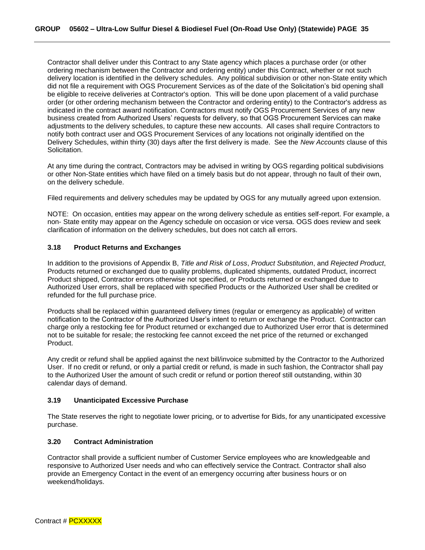Contractor shall deliver under this Contract to any State agency which places a purchase order (or other ordering mechanism between the Contractor and ordering entity) under this Contract, whether or not such delivery location is identified in the delivery schedules. Any political subdivision or other non-State entity which did not file a requirement with OGS Procurement Services as of the date of the Solicitation's bid opening shall be eligible to receive deliveries at Contractor's option. This will be done upon placement of a valid purchase order (or other ordering mechanism between the Contractor and ordering entity) to the Contractor's address as indicated in the contract award notification. Contractors must notify OGS Procurement Services of any new business created from Authorized Users' requests for delivery, so that OGS Procurement Services can make adjustments to the delivery schedules, to capture these new accounts. All cases shall require Contractors to notify both contract user and OGS Procurement Services of any locations not originally identified on the Delivery Schedules, within thirty (30) days after the first delivery is made. See the *New Accounts* clause of this Solicitation.

At any time during the contract, Contractors may be advised in writing by OGS regarding political subdivisions or other Non-State entities which have filed on a timely basis but do not appear, through no fault of their own, on the delivery schedule.

Filed requirements and delivery schedules may be updated by OGS for any mutually agreed upon extension.

NOTE: On occasion, entities may appear on the wrong delivery schedule as entities self-report. For example, a non- State entity may appear on the Agency schedule on occasion or vice versa. OGS does review and seek clarification of information on the delivery schedules, but does not catch all errors.

#### <span id="page-34-0"></span>**3.18 Product Returns and Exchanges**

In addition to the provisions of Appendix B, *Title and Risk of Loss*, *Product Substitution*, and *Rejected Product*, Products returned or exchanged due to quality problems, duplicated shipments, outdated Product, incorrect Product shipped, Contractor errors otherwise not specified, or Products returned or exchanged due to Authorized User errors, shall be replaced with specified Products or the Authorized User shall be credited or refunded for the full purchase price.

Products shall be replaced within guaranteed delivery times (regular or emergency as applicable) of written notification to the Contractor of the Authorized User's intent to return or exchange the Product. Contractor can charge only a restocking fee for Product returned or exchanged due to Authorized User error that is determined not to be suitable for resale; the restocking fee cannot exceed the net price of the returned or exchanged Product.

Any credit or refund shall be applied against the next bill/invoice submitted by the Contractor to the Authorized User. If no credit or refund, or only a partial credit or refund, is made in such fashion, the Contractor shall pay to the Authorized User the amount of such credit or refund or portion thereof still outstanding, within 30 calendar days of demand.

#### <span id="page-34-1"></span>**3.19 Unanticipated Excessive Purchase**

The State reserves the right to negotiate lower pricing, or to advertise for Bids, for any unanticipated excessive purchase.

#### <span id="page-34-2"></span>**3.20 Contract Administration**

Contractor shall provide a sufficient number of Customer Service employees who are knowledgeable and responsive to Authorized User needs and who can effectively service the Contract. Contractor shall also provide an Emergency Contact in the event of an emergency occurring after business hours or on weekend/holidays.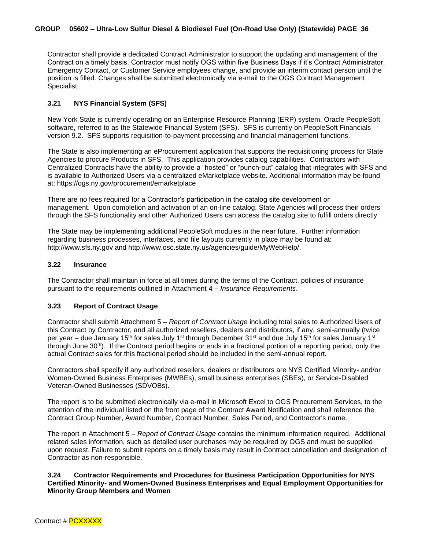Contractor shall provide a dedicated Contract Administrator to support the updating and management of the Contract on a timely basis. Contractor must notify OGS within five Business Days if it's Contract Administrator, Emergency Contact, or Customer Service employees change, and provide an interim contact person until the position is filled. Changes shall be submitted electronically via e-mail to the OGS Contract Management Specialist.

#### <span id="page-35-0"></span>**3.21 NYS Financial System (SFS)**

New York State is currently operating on an Enterprise Resource Planning (ERP) system, Oracle PeopleSoft software, referred to as the Statewide Financial System (SFS). SFS is currently on PeopleSoft Financials version 9.2. SFS supports requisition-to-payment processing and financial management functions.

The State is also implementing an eProcurement application that supports the requisitioning process for State Agencies to procure Products in SFS. This application provides catalog capabilities. Contractors with Centralized Contracts have the ability to provide a "hosted" or "punch-out" catalog that integrates with SFS and is available to Authorized Users via a centralized eMarketplace website. Additional information may be found at: https://ogs.ny.gov/procurement/emarketplace

There are no fees required for a Contractor's participation in the catalog site development or management. Upon completion and activation of an on-line catalog, State Agencies will process their orders through the SFS functionality and other Authorized Users can access the catalog site to fulfill orders directly.

The State may be implementing additional PeopleSoft modules in the near future. Further information regarding business processes, interfaces, and file layouts currently in place may be found at: http://www.sfs.ny.gov and http://www.osc.state.ny.us/agencies/guide/MyWebHelp/.

#### <span id="page-35-1"></span>**3.22 Insurance**

The Contractor shall maintain in force at all times during the terms of the Contract, policies of insurance pursuant to the requirements outlined in Attachment 4 – *Insurance Requirements*.

#### <span id="page-35-2"></span>**3.23 Report of Contract Usage**

Contractor shall submit Attachment 5 – *Report of Contract Usage* including total sales to Authorized Users of this Contract by Contractor, and all authorized resellers, dealers and distributors, if any, semi-annually (twice per year – due January 15<sup>th</sup> for sales July 1<sup>st</sup> through December 31<sup>st</sup> and due July 15<sup>th</sup> for sales January 1<sup>st</sup> through June 30th). If the Contract period begins or ends in a fractional portion of a reporting period, only the actual Contract sales for this fractional period should be included in the semi-annual report.

Contractors shall specify if any authorized resellers, dealers or distributors are NYS Certified Minority- and/or Women-Owned Business Enterprises (MWBEs), small business enterprises (SBEs), or Service-Disabled Veteran-Owned Businesses (SDVOBs).

The report is to be submitted electronically via e-mail in Microsoft Excel to OGS Procurement Services, to the attention of the individual listed on the front page of the Contract Award Notification and shall reference the Contract Group Number, Award Number, Contract Number, Sales Period, and Contractor's name.

The report in Attachment 5 – *Report of Contract Usage* contains the minimum information required. Additional related sales information, such as detailed user purchases may be required by OGS and must be supplied upon request. Failure to submit reports on a timely basis may result in Contract cancellation and designation of Contractor as non-responsible.

#### <span id="page-35-3"></span>**3.24 Contractor Requirements and Procedures for Business Participation Opportunities for NYS Certified Minority- and Women-Owned Business Enterprises and Equal Employment Opportunities for Minority Group Members and Women**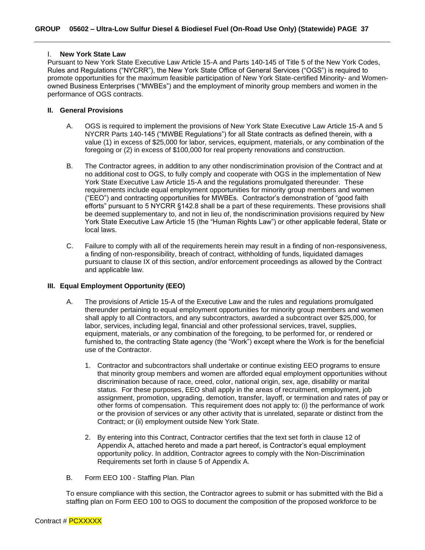#### <span id="page-36-0"></span>I. **New York State Law**

Pursuant to New York State Executive Law Article 15-A and Parts 140-145 of Title 5 of the New York Codes, Rules and Regulations ("NYCRR"), the New York State Office of General Services ("OGS") is required to promote opportunities for the maximum feasible participation of New York State-certified Minority- and Womenowned Business Enterprises ("MWBEs") and the employment of minority group members and women in the performance of OGS contracts.

#### <span id="page-36-1"></span>**II. General Provisions**

- A. OGS is required to implement the provisions of New York State Executive Law Article 15-A and 5 NYCRR Parts 140-145 ("MWBE Regulations") for all State contracts as defined therein, with a value (1) in excess of \$25,000 for labor, services, equipment, materials, or any combination of the foregoing or (2) in excess of \$100,000 for real property renovations and construction.
- B. The Contractor agrees, in addition to any other nondiscrimination provision of the Contract and at no additional cost to OGS, to fully comply and cooperate with OGS in the implementation of New York State Executive Law Article 15-A and the regulations promulgated thereunder. These requirements include equal employment opportunities for minority group members and women ("EEO") and contracting opportunities for MWBEs. Contractor's demonstration of "good faith efforts" pursuant to 5 NYCRR §142.8 shall be a part of these requirements. These provisions shall be deemed supplementary to, and not in lieu of, the nondiscrimination provisions required by New York State Executive Law Article 15 (the "Human Rights Law") or other applicable federal, State or local laws.
- C. Failure to comply with all of the requirements herein may result in a finding of non-responsiveness, a finding of non-responsibility, breach of contract, withholding of funds, liquidated damages pursuant to clause IX of this section, and/or enforcement proceedings as allowed by the Contract and applicable law.

#### <span id="page-36-2"></span>**III. Equal Employment Opportunity (EEO)**

- A. The provisions of Article 15-A of the Executive Law and the rules and regulations promulgated thereunder pertaining to equal employment opportunities for minority group members and women shall apply to all Contractors, and any subcontractors, awarded a subcontract over \$25,000, for labor, services, including legal, financial and other professional services, travel, supplies, equipment, materials, or any combination of the foregoing, to be performed for, or rendered or furnished to, the contracting State agency (the "Work") except where the Work is for the beneficial use of the Contractor.
	- 1. Contractor and subcontractors shall undertake or continue existing EEO programs to ensure that minority group members and women are afforded equal employment opportunities without discrimination because of race, creed, color, national origin, sex, age, disability or marital status. For these purposes, EEO shall apply in the areas of recruitment, employment, job assignment, promotion, upgrading, demotion, transfer, layoff, or termination and rates of pay or other forms of compensation. This requirement does not apply to: (i) the performance of work or the provision of services or any other activity that is unrelated, separate or distinct from the Contract; or (ii) employment outside New York State.
	- 2. By entering into this Contract, Contractor certifies that the text set forth in clause 12 of Appendix A, attached hereto and made a part hereof, is Contractor's equal employment opportunity policy. In addition, Contractor agrees to comply with the Non-Discrimination Requirements set forth in clause 5 of Appendix A.
- B. Form EEO 100 Staffing Plan. Plan

To ensure compliance with this section, the Contractor agrees to submit or has submitted with the Bid a staffing plan on Form EEO 100 to OGS to document the composition of the proposed workforce to be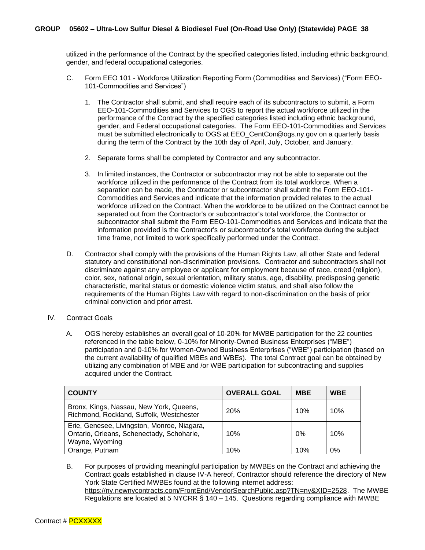utilized in the performance of the Contract by the specified categories listed, including ethnic background, gender, and federal occupational categories.

- C. Form EEO 101 Workforce Utilization Reporting Form (Commodities and Services) ("Form EEO-101-Commodities and Services")
	- 1. The Contractor shall submit, and shall require each of its subcontractors to submit, a Form EEO-101-Commodities and Services to OGS to report the actual workforce utilized in the performance of the Contract by the specified categories listed including ethnic background, gender, and Federal occupational categories. The Form EEO-101-Commodities and Services must be submitted electronically to OGS at EEO\_CentCon@ogs.ny.gov on a quarterly basis during the term of the Contract by the 10th day of April, July, October, and January.
	- 2. Separate forms shall be completed by Contractor and any subcontractor.
	- 3. In limited instances, the Contractor or subcontractor may not be able to separate out the workforce utilized in the performance of the Contract from its total workforce. When a separation can be made, the Contractor or subcontractor shall submit the Form EEO-101- Commodities and Services and indicate that the information provided relates to the actual workforce utilized on the Contract. When the workforce to be utilized on the Contract cannot be separated out from the Contractor's or subcontractor's total workforce, the Contractor or subcontractor shall submit the Form EEO-101-Commodities and Services and indicate that the information provided is the Contractor's or subcontractor's total workforce during the subject time frame, not limited to work specifically performed under the Contract.
- D. Contractor shall comply with the provisions of the Human Rights Law, all other State and federal statutory and constitutional non-discrimination provisions. Contractor and subcontractors shall not discriminate against any employee or applicant for employment because of race, creed (religion), color, sex, national origin, sexual orientation, military status, age, disability, predisposing genetic characteristic, marital status or domestic violence victim status, and shall also follow the requirements of the Human Rights Law with regard to non-discrimination on the basis of prior criminal conviction and prior arrest.
- IV. Contract Goals
	- A. OGS hereby establishes an overall goal of 10-20% for MWBE participation for the 22 counties referenced in the table below, 0-10% for Minority-Owned Business Enterprises ("MBE") participation and 0-10% for Women-Owned Business Enterprises ("WBE") participation (based on the current availability of qualified MBEs and WBEs). The total Contract goal can be obtained by utilizing any combination of MBE and /or WBE participation for subcontracting and supplies acquired under the Contract.

| <b>COUNTY</b>                                                                                              | <b>OVERALL GOAL</b> | <b>MBE</b> | <b>WBE</b> |
|------------------------------------------------------------------------------------------------------------|---------------------|------------|------------|
| Bronx, Kings, Nassau, New York, Queens,<br>Richmond, Rockland, Suffolk, Westchester                        | <b>20%</b>          | 10%        | 10%        |
| Erie, Genesee, Livingston, Monroe, Niagara,<br>Ontario, Orleans, Schenectady, Schoharie,<br>Wayne, Wyoming | 10%                 | 0%         | 10%        |
| Orange, Putnam                                                                                             | 10%                 | 10%        | 0%         |

B. For purposes of providing meaningful participation by MWBEs on the Contract and achieving the Contract goals established in clause IV-A hereof, Contractor should reference the directory of New York State Certified MWBEs found at the following internet address: https://ny.newnycontracts.com/FrontEnd/VendorSearchPublic.asp?TN=ny&XID=2528. The MWBE Regulations are located at 5 NYCRR § 140 – 145. Questions regarding compliance with MWBE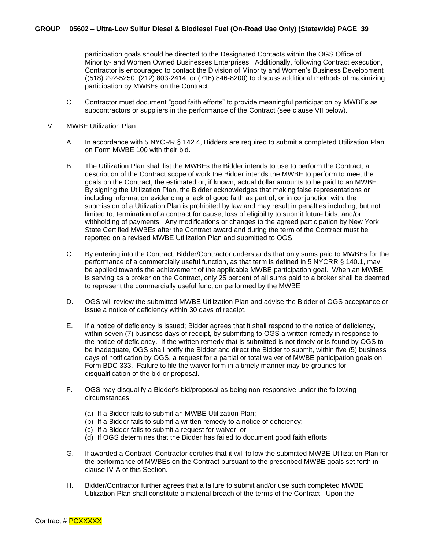participation goals should be directed to the Designated Contacts within the OGS Office of Minority- and Women Owned Businesses Enterprises. Additionally, following Contract execution, Contractor is encouraged to contact the Division of Minority and Women's Business Development ((518) 292-5250; (212) 803-2414; or (716) 846-8200) to discuss additional methods of maximizing participation by MWBEs on the Contract.

- C. Contractor must document "good faith efforts" to provide meaningful participation by MWBEs as subcontractors or suppliers in the performance of the Contract (see clause VII below).
- V. MWBE Utilization Plan
	- A. In accordance with 5 NYCRR § 142.4, Bidders are required to submit a completed Utilization Plan on Form MWBE 100 with their bid.
	- B. The Utilization Plan shall list the MWBEs the Bidder intends to use to perform the Contract, a description of the Contract scope of work the Bidder intends the MWBE to perform to meet the goals on the Contract, the estimated or, if known, actual dollar amounts to be paid to an MWBE. By signing the Utilization Plan, the Bidder acknowledges that making false representations or including information evidencing a lack of good faith as part of, or in conjunction with, the submission of a Utilization Plan is prohibited by law and may result in penalties including, but not limited to, termination of a contract for cause, loss of eligibility to submit future bids, and/or withholding of payments. Any modifications or changes to the agreed participation by New York State Certified MWBEs after the Contract award and during the term of the Contract must be reported on a revised MWBE Utilization Plan and submitted to OGS.
	- C. By entering into the Contract, Bidder/Contractor understands that only sums paid to MWBEs for the performance of a commercially useful function, as that term is defined in 5 NYCRR § 140.1, may be applied towards the achievement of the applicable MWBE participation goal. When an MWBE is serving as a broker on the Contract, only 25 percent of all sums paid to a broker shall be deemed to represent the commercially useful function performed by the MWBE
	- D. OGS will review the submitted MWBE Utilization Plan and advise the Bidder of OGS acceptance or issue a notice of deficiency within 30 days of receipt.
	- E. If a notice of deficiency is issued; Bidder agrees that it shall respond to the notice of deficiency, within seven (7) business days of receipt, by submitting to OGS a written remedy in response to the notice of deficiency. If the written remedy that is submitted is not timely or is found by OGS to be inadequate, OGS shall notify the Bidder and direct the Bidder to submit, within five (5) business days of notification by OGS, a request for a partial or total waiver of MWBE participation goals on Form BDC 333. Failure to file the waiver form in a timely manner may be grounds for disqualification of the bid or proposal.
	- F. OGS may disqualify a Bidder's bid/proposal as being non-responsive under the following circumstances:
		- (a) If a Bidder fails to submit an MWBE Utilization Plan;
		- (b) If a Bidder fails to submit a written remedy to a notice of deficiency;
		- (c) If a Bidder fails to submit a request for waiver; or
		- (d) If OGS determines that the Bidder has failed to document good faith efforts.
	- G. If awarded a Contract, Contractor certifies that it will follow the submitted MWBE Utilization Plan for the performance of MWBEs on the Contract pursuant to the prescribed MWBE goals set forth in clause IV-A of this Section.
	- H. Bidder/Contractor further agrees that a failure to submit and/or use such completed MWBE Utilization Plan shall constitute a material breach of the terms of the Contract. Upon the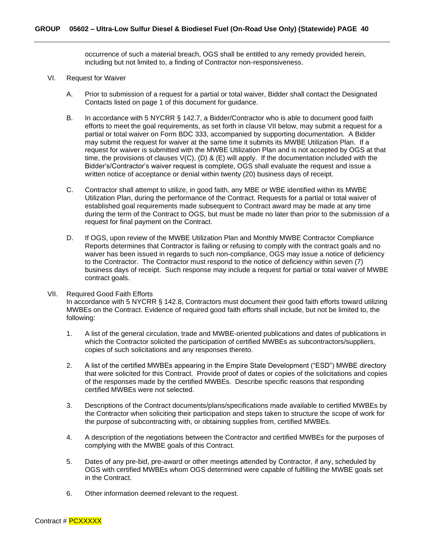occurrence of such a material breach, OGS shall be entitled to any remedy provided herein, including but not limited to, a finding of Contractor non-responsiveness.

#### VI. Request for Waiver

- A. Prior to submission of a request for a partial or total waiver, Bidder shall contact the Designated Contacts listed on page 1 of this document for guidance.
- B. In accordance with 5 NYCRR § 142.7, a Bidder/Contractor who is able to document good faith efforts to meet the goal requirements, as set forth in clause VII below, may submit a request for a partial or total waiver on Form BDC 333, accompanied by supporting documentation. A Bidder may submit the request for waiver at the same time it submits its MWBE Utilization Plan. If a request for waiver is submitted with the MWBE Utilization Plan and is not accepted by OGS at that time, the provisions of clauses  $V(C)$ ,  $(D)$  &  $(E)$  will apply. If the documentation included with the Bidder's/Contractor's waiver request is complete, OGS shall evaluate the request and issue a written notice of acceptance or denial within twenty (20) business days of receipt.
- C. Contractor shall attempt to utilize, in good faith, any MBE or WBE identified within its MWBE Utilization Plan, during the performance of the Contract. Requests for a partial or total waiver of established goal requirements made subsequent to Contract award may be made at any time during the term of the Contract to OGS, but must be made no later than prior to the submission of a request for final payment on the Contract.
- D. If OGS, upon review of the MWBE Utilization Plan and Monthly MWBE Contractor Compliance Reports determines that Contractor is failing or refusing to comply with the contract goals and no waiver has been issued in regards to such non-compliance, OGS may issue a notice of deficiency to the Contractor. The Contractor must respond to the notice of deficiency within seven (7) business days of receipt. Such response may include a request for partial or total waiver of MWBE contract goals.

#### VII. Required Good Faith Efforts In accordance with 5 NYCRR § 142.8, Contractors must document their good faith efforts toward utilizing MWBEs on the Contract. Evidence of required good faith efforts shall include, but not be limited to, the following:

- 1. A list of the general circulation, trade and MWBE-oriented publications and dates of publications in which the Contractor solicited the participation of certified MWBEs as subcontractors/suppliers, copies of such solicitations and any responses thereto.
- 2. A list of the certified MWBEs appearing in the Empire State Development ("ESD") MWBE directory that were solicited for this Contract. Provide proof of dates or copies of the solicitations and copies of the responses made by the certified MWBEs. Describe specific reasons that responding certified MWBEs were not selected.
- 3. Descriptions of the Contract documents/plans/specifications made available to certified MWBEs by the Contractor when soliciting their participation and steps taken to structure the scope of work for the purpose of subcontracting with, or obtaining supplies from, certified MWBEs.
- 4. A description of the negotiations between the Contractor and certified MWBEs for the purposes of complying with the MWBE goals of this Contract.
- 5. Dates of any pre-bid, pre-award or other meetings attended by Contractor, if any, scheduled by OGS with certified MWBEs whom OGS determined were capable of fulfilling the MWBE goals set in the Contract.
- 6. Other information deemed relevant to the request.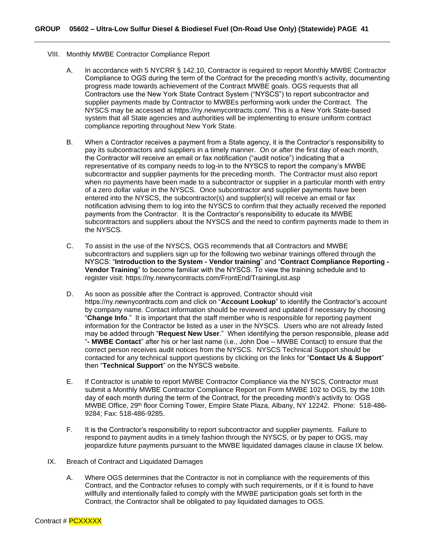- VIII. Monthly MWBE Contractor Compliance Report
	- A. In accordance with 5 NYCRR § 142.10, Contractor is required to report Monthly MWBE Contractor Compliance to OGS during the term of the Contract for the preceding month's activity, documenting progress made towards achievement of the Contract MWBE goals. OGS requests that all Contractors use the New York State Contract System ("NYSCS") to report subcontractor and supplier payments made by Contractor to MWBEs performing work under the Contract. The NYSCS may be accessed at https://ny.newnycontracts.com/. This is a New York State-based system that all State agencies and authorities will be implementing to ensure uniform contract compliance reporting throughout New York State.
	- B. When a Contractor receives a payment from a State agency, it is the Contractor's responsibility to pay its subcontractors and suppliers in a timely manner. On or after the first day of each month, the Contractor will receive an email or fax notification ("audit notice") indicating that a representative of its company needs to log-in to the NYSCS to report the company's MWBE subcontractor and supplier payments for the preceding month. The Contractor must also report when no payments have been made to a subcontractor or supplier in a particular month with entry of a zero dollar value in the NYSCS. Once subcontractor and supplier payments have been entered into the NYSCS, the subcontractor(s) and supplier(s) will receive an email or fax notification advising them to log into the NYSCS to confirm that they actually received the reported payments from the Contractor. It is the Contractor's responsibility to educate its MWBE subcontractors and suppliers about the NYSCS and the need to confirm payments made to them in the NYSCS.
	- C. To assist in the use of the NYSCS, OGS recommends that all Contractors and MWBE subcontractors and suppliers sign up for the following two webinar trainings offered through the NYSCS: "**Introduction to the System - Vendor training**" and "**Contract Compliance Reporting - Vendor Training**" to become familiar with the NYSCS. To view the training schedule and to register visit: https://ny.newnycontracts.com/FrontEnd/TrainingList.asp
	- D. As soon as possible after the Contract is approved, Contractor should visit https://ny.newnycontracts.com and click on "**Account Lookup**" to identify the Contractor's account by company name. Contact information should be reviewed and updated if necessary by choosing "**Change Info**." It is important that the staff member who is responsible for reporting payment information for the Contractor be listed as a user in the NYSCS. Users who are not already listed may be added through "**Request New User**." When identifying the person responsible, please add "**- MWBE Contact**" after his or her last name (i.e., John Doe – MWBE Contact) to ensure that the correct person receives audit notices from the NYSCS. NYSCS Technical Support should be contacted for any technical support questions by clicking on the links for "**Contact Us & Support**" then "**Technical Support**" on the NYSCS website.
	- E. If Contractor is unable to report MWBE Contractor Compliance via the NYSCS, Contractor must submit a Monthly MWBE Contractor Compliance Report on Form MWBE 102 to OGS, by the 10th day of each month during the term of the Contract, for the preceding month's activity to: OGS MWBE Office, 29<sup>th</sup> floor Corning Tower, Empire State Plaza, Albany, NY 12242. Phone: 518-486-9284; Fax: 518-486-9285.
	- F. It is the Contractor's responsibility to report subcontractor and supplier payments. Failure to respond to payment audits in a timely fashion through the NYSCS, or by paper to OGS, may jeopardize future payments pursuant to the MWBE liquidated damages clause in clause IX below.
- IX. Breach of Contract and Liquidated Damages
	- A. Where OGS determines that the Contractor is not in compliance with the requirements of this Contract, and the Contractor refuses to comply with such requirements, or if it is found to have willfully and intentionally failed to comply with the MWBE participation goals set forth in the Contract, the Contractor shall be obligated to pay liquidated damages to OGS.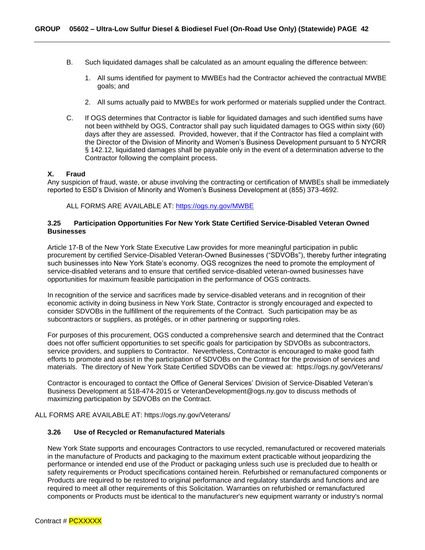- B. Such liquidated damages shall be calculated as an amount equaling the difference between:
	- 1. All sums identified for payment to MWBEs had the Contractor achieved the contractual MWBE goals; and
	- 2. All sums actually paid to MWBEs for work performed or materials supplied under the Contract.
- C. If OGS determines that Contractor is liable for liquidated damages and such identified sums have not been withheld by OGS, Contractor shall pay such liquidated damages to OGS within sixty (60) days after they are assessed. Provided, however, that if the Contractor has filed a complaint with the Director of the Division of Minority and Women's Business Development pursuant to 5 NYCRR § 142.12, liquidated damages shall be payable only in the event of a determination adverse to the Contractor following the complaint process.

#### **X. Fraud**

Any suspicion of fraud, waste, or abuse involving the contracting or certification of MWBEs shall be immediately reported to ESD's Division of Minority and Women's Business Development at (855) 373-4692.

ALL FORMS ARE AVAILABLE AT:<https://ogs.ny.gov/MWBE>

#### <span id="page-41-0"></span>**3.25 Participation Opportunities For New York State Certified Service-Disabled Veteran Owned Businesses**

Article 17-B of the New York State Executive Law provides for more meaningful participation in public procurement by certified Service-Disabled Veteran-Owned Businesses ("SDVOBs"), thereby further integrating such businesses into New York State's economy. OGS recognizes the need to promote the employment of service-disabled veterans and to ensure that certified service-disabled veteran-owned businesses have opportunities for maximum feasible participation in the performance of OGS contracts.

In recognition of the service and sacrifices made by service-disabled veterans and in recognition of their economic activity in doing business in New York State, Contractor is strongly encouraged and expected to consider SDVOBs in the fulfillment of the requirements of the Contract. Such participation may be as subcontractors or suppliers, as protégés, or in other partnering or supporting roles.

For purposes of this procurement, OGS conducted a comprehensive search and determined that the Contract does not offer sufficient opportunities to set specific goals for participation by SDVOBs as subcontractors, service providers, and suppliers to Contractor. Nevertheless, Contractor is encouraged to make good faith efforts to promote and assist in the participation of SDVOBs on the Contract for the provision of services and materials. The directory of New York State Certified SDVOBs can be viewed at: https://ogs.ny.gov/Veterans/

Contractor is encouraged to contact the Office of General Services' Division of Service-Disabled Veteran's Business Development at 518-474-2015 or VeteranDevelopment@ogs.ny.gov to discuss methods of maximizing participation by SDVOBs on the Contract.

ALL FORMS ARE AVAILABLE AT: https://ogs.ny.gov/Veterans/

#### <span id="page-41-1"></span>**3.26 Use of Recycled or Remanufactured Materials**

New York State supports and encourages Contractors to use recycled, remanufactured or recovered materials in the manufacture of Products and packaging to the maximum extent practicable without jeopardizing the performance or intended end use of the Product or packaging unless such use is precluded due to health or safety requirements or Product specifications contained herein. Refurbished or remanufactured components or Products are required to be restored to original performance and regulatory standards and functions and are required to meet all other requirements of this Solicitation. Warranties on refurbished or remanufactured components or Products must be identical to the manufacturer's new equipment warranty or industry's normal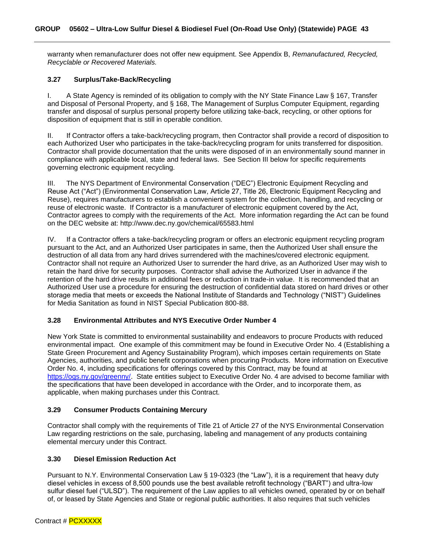warranty when remanufacturer does not offer new equipment. See Appendix B, *Remanufactured, Recycled, Recyclable or Recovered Materials.*

#### <span id="page-42-0"></span>**3.27 Surplus/Take-Back/Recycling**

I. A State Agency is reminded of its obligation to comply with the NY State Finance Law § 167, Transfer and Disposal of Personal Property, and § 168, The Management of Surplus Computer Equipment, regarding transfer and disposal of surplus personal property before utilizing take-back, recycling, or other options for disposition of equipment that is still in operable condition.

II. If Contractor offers a take-back/recycling program, then Contractor shall provide a record of disposition to each Authorized User who participates in the take-back/recycling program for units transferred for disposition. Contractor shall provide documentation that the units were disposed of in an environmentally sound manner in compliance with applicable local, state and federal laws. See Section III below for specific requirements governing electronic equipment recycling.

III. The NYS Department of Environmental Conservation ("DEC") Electronic Equipment Recycling and Reuse Act ("Act") (Environmental Conservation Law, Article 27, Title 26, Electronic Equipment Recycling and Reuse), requires manufacturers to establish a convenient system for the collection, handling, and recycling or reuse of electronic waste. If Contractor is a manufacturer of electronic equipment covered by the Act, Contractor agrees to comply with the requirements of the Act. More information regarding the Act can be found on the DEC website at: http://www.dec.ny.gov/chemical/65583.html

IV. If a Contractor offers a take-back/recycling program or offers an electronic equipment recycling program pursuant to the Act, and an Authorized User participates in same, then the Authorized User shall ensure the destruction of all data from any hard drives surrendered with the machines/covered electronic equipment. Contractor shall not require an Authorized User to surrender the hard drive, as an Authorized User may wish to retain the hard drive for security purposes. Contractor shall advise the Authorized User in advance if the retention of the hard drive results in additional fees or reduction in trade-in value. It is recommended that an Authorized User use a procedure for ensuring the destruction of confidential data stored on hard drives or other storage media that meets or exceeds the National Institute of Standards and Technology ("NIST") Guidelines for Media Sanitation as found in NIST Special Publication 800-88.

#### <span id="page-42-1"></span>**3.28 Environmental Attributes and NYS Executive Order Number 4**

New York State is committed to environmental sustainability and endeavors to procure Products with reduced environmental impact. One example of this commitment may be found in Executive Order No. 4 (Establishing a State Green Procurement and Agency Sustainability Program), which imposes certain requirements on State Agencies, authorities, and public benefit corporations when procuring Products. More information on Executive Order No. 4, including specifications for offerings covered by this Contract, may be found at [https://ogs.ny.gov/greenny/.](https://ogs.ny.gov/greenny/) State entities subject to Executive Order No. 4 are advised to become familiar with the specifications that have been developed in accordance with the Order, and to incorporate them, as applicable, when making purchases under this Contract.

#### <span id="page-42-2"></span>**3.29 Consumer Products Containing Mercury**

Contractor shall comply with the requirements of Title 21 of Article 27 of the NYS Environmental Conservation Law regarding restrictions on the sale, purchasing, labeling and management of any products containing elemental mercury under this Contract.

#### <span id="page-42-3"></span>**3.30 Diesel Emission Reduction Act**

Pursuant to N.Y. Environmental Conservation Law § 19-0323 (the "Law"), it is a requirement that heavy duty diesel vehicles in excess of 8,500 pounds use the best available retrofit technology ("BART") and ultra-low sulfur diesel fuel ("ULSD"). The requirement of the Law applies to all vehicles owned, operated by or on behalf of, or leased by State Agencies and State or regional public authorities. It also requires that such vehicles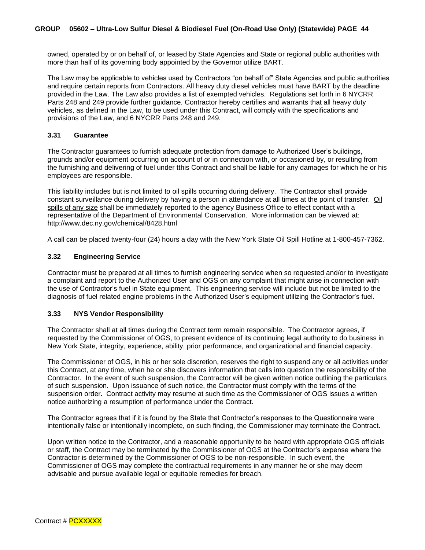owned, operated by or on behalf of, or leased by State Agencies and State or regional public authorities with more than half of its governing body appointed by the Governor utilize BART.

The Law may be applicable to vehicles used by Contractors "on behalf of" State Agencies and public authorities and require certain reports from Contractors. All heavy duty diesel vehicles must have BART by the deadline provided in the Law. The Law also provides a list of exempted vehicles. Regulations set forth in 6 NYCRR Parts 248 and 249 provide further guidance. Contractor hereby certifies and warrants that all heavy duty vehicles, as defined in the Law, to be used under this Contract, will comply with the specifications and provisions of the Law, and 6 NYCRR Parts 248 and 249.

#### <span id="page-43-0"></span>**3.31 Guarantee**

The Contractor guarantees to furnish adequate protection from damage to Authorized User's buildings, grounds and/or equipment occurring on account of or in connection with, or occasioned by, or resulting from the furnishing and delivering of fuel under tthis Contract and shall be liable for any damages for which he or his employees are responsible.

This liability includes but is not limited to oil spills occurring during delivery. The Contractor shall provide constant surveillance during delivery by having a person in attendance at all times at the point of transfer. Oil spills of any size shall be immediately reported to the agency Business Office to effect contact with a representative of the Department of Environmental Conservation. More information can be viewed at: http://www.dec.ny.gov/chemical/8428.html

A call can be placed twenty-four (24) hours a day with the New York State Oil Spill Hotline at 1-800-457-7362.

#### <span id="page-43-1"></span>**3.32 Engineering Service**

Contractor must be prepared at all times to furnish engineering service when so requested and/or to investigate a complaint and report to the Authorized User and OGS on any complaint that might arise in connection with the use of Contractor's fuel in State equipment. This engineering service will include but not be limited to the diagnosis of fuel related engine problems in the Authorized User's equipment utilizing the Contractor's fuel.

#### <span id="page-43-2"></span>**3.33 NYS Vendor Responsibility**

The Contractor shall at all times during the Contract term remain responsible. The Contractor agrees, if requested by the Commissioner of OGS, to present evidence of its continuing legal authority to do business in New York State, integrity, experience, ability, prior performance, and organizational and financial capacity.

The Commissioner of OGS, in his or her sole discretion, reserves the right to suspend any or all activities under this Contract, at any time, when he or she discovers information that calls into question the responsibility of the Contractor. In the event of such suspension, the Contractor will be given written notice outlining the particulars of such suspension. Upon issuance of such notice, the Contractor must comply with the terms of the suspension order. Contract activity may resume at such time as the Commissioner of OGS issues a written notice authorizing a resumption of performance under the Contract.

The Contractor agrees that if it is found by the State that Contractor's responses to the Questionnaire were intentionally false or intentionally incomplete, on such finding, the Commissioner may terminate the Contract.

Upon written notice to the Contractor, and a reasonable opportunity to be heard with appropriate OGS officials or staff, the Contract may be terminated by the Commissioner of OGS at the Contractor's expense where the Contractor is determined by the Commissioner of OGS to be non-responsible. In such event, the Commissioner of OGS may complete the contractual requirements in any manner he or she may deem advisable and pursue available legal or equitable remedies for breach.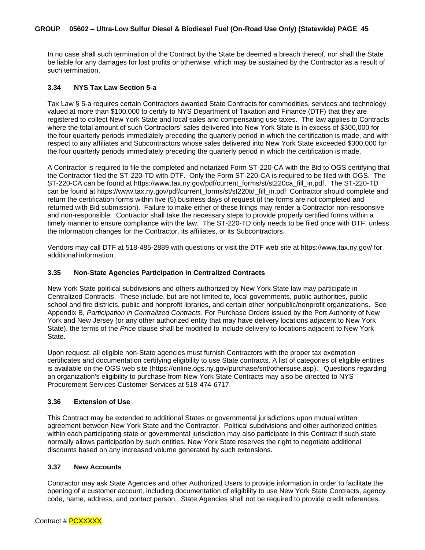In no case shall such termination of the Contract by the State be deemed a breach thereof, nor shall the State be liable for any damages for lost profits or otherwise, which may be sustained by the Contractor as a result of such termination.

#### <span id="page-44-0"></span>**3.34 NYS Tax Law Section 5-a**

Tax Law § 5-a requires certain Contractors awarded State Contracts for commodities, services and technology valued at more than \$100,000 to certify to NYS Department of Taxation and Finance (DTF) that they are registered to collect New York State and local sales and compensating use taxes. The law applies to Contracts where the total amount of such Contractors' sales delivered into New York State is in excess of \$300,000 for the four quarterly periods immediately preceding the quarterly period in which the certification is made, and with respect to any affiliates and Subcontractors whose sales delivered into New York State exceeded \$300,000 for the four quarterly periods immediately preceding the quarterly period in which the certification is made.

A Contractor is required to file the completed and notarized Form ST-220-CA with the Bid to OGS certifying that the Contractor filed the ST-220-TD with DTF. Only the Form ST-220-CA is required to be filed with OGS. The ST-220-CA can be found at https://www.tax.ny.gov/pdf/current\_forms/st/st220ca\_fill\_in.pdf. The ST-220-TD can be found at https://www.tax.ny.gov/pdf/current\_forms/st/st220td\_fill\_in.pdf Contractor should complete and return the certification forms within five (5) business days of request (if the forms are not completed and returned with Bid submission). Failure to make either of these filings may render a Contractor non-responsive and non-responsible. Contractor shall take the necessary steps to provide properly certified forms within a timely manner to ensure compliance with the law. The ST-220-TD only needs to be filed once with DTF, unless the information changes for the Contractor, its affiliates, or its Subcontractors.

Vendors may call DTF at 518-485-2889 with questions or visit the DTF web site at https://www.tax.ny.gov/ for additional information.

#### <span id="page-44-1"></span>**3.35 Non-State Agencies Participation in Centralized Contracts**

New York State political subdivisions and others authorized by New York State law may participate in Centralized Contracts. These include, but are not limited to, local governments, public authorities, public school and fire districts, public and nonprofit libraries, and certain other nonpublic/nonprofit organizations. See Appendix B, *Participation in Centralized Contracts*. For Purchase Orders issued by the Port Authority of New York and New Jersey (or any other authorized entity that may have delivery locations adjacent to New York State), the terms of the *Price* clause shall be modified to include delivery to locations adjacent to New York State.

Upon request, all eligible non-State agencies must furnish Contractors with the proper tax exemption certificates and documentation certifying eligibility to use State contracts. A list of categories of eligible entities is available on the OGS web site (https://online.ogs.ny.gov/purchase/snt/othersuse.asp). Questions regarding an organization's eligibility to purchase from New York State Contracts may also be directed to NYS Procurement Services Customer Services at 518-474-6717.

#### <span id="page-44-2"></span>**3.36 Extension of Use**

This Contract may be extended to additional States or governmental jurisdictions upon mutual written agreement between New York State and the Contractor. Political subdivisions and other authorized entities within each participating state or governmental jurisdiction may also participate in this Contract if such state normally allows participation by such entities. New York State reserves the right to negotiate additional discounts based on any increased volume generated by such extensions.

#### <span id="page-44-3"></span>**3.37 New Accounts**

Contractor may ask State Agencies and other Authorized Users to provide information in order to facilitate the opening of a customer account, including documentation of eligibility to use New York State Contracts, agency code, name, address, and contact person. State Agencies shall not be required to provide credit references.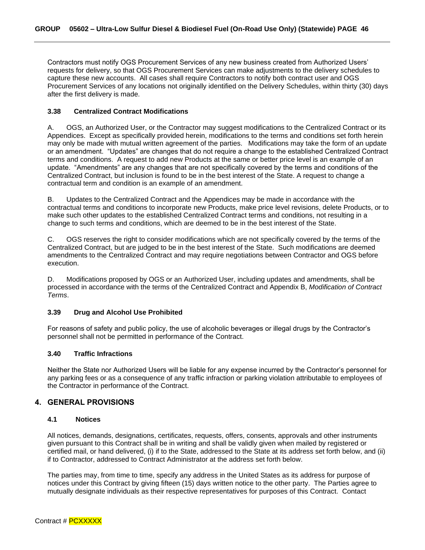Contractors must notify OGS Procurement Services of any new business created from Authorized Users' requests for delivery, so that OGS Procurement Services can make adjustments to the delivery schedules to capture these new accounts. All cases shall require Contractors to notify both contract user and OGS Procurement Services of any locations not originally identified on the Delivery Schedules, within thirty (30) days after the first delivery is made.

#### <span id="page-45-0"></span>**3.38 Centralized Contract Modifications**

A. OGS, an Authorized User, or the Contractor may suggest modifications to the Centralized Contract or its Appendices. Except as specifically provided herein, modifications to the terms and conditions set forth herein may only be made with mutual written agreement of the parties. Modifications may take the form of an update or an amendment. "Updates" are changes that do not require a change to the established Centralized Contract terms and conditions. A request to add new Products at the same or better price level is an example of an update. "Amendments" are any changes that are not specifically covered by the terms and conditions of the Centralized Contract, but inclusion is found to be in the best interest of the State. A request to change a contractual term and condition is an example of an amendment.

B. Updates to the Centralized Contract and the Appendices may be made in accordance with the contractual terms and conditions to incorporate new Products, make price level revisions, delete Products, or to make such other updates to the established Centralized Contract terms and conditions, not resulting in a change to such terms and conditions, which are deemed to be in the best interest of the State.

C. OGS reserves the right to consider modifications which are not specifically covered by the terms of the Centralized Contract, but are judged to be in the best interest of the State. Such modifications are deemed amendments to the Centralized Contract and may require negotiations between Contractor and OGS before execution.

D. Modifications proposed by OGS or an Authorized User, including updates and amendments, shall be processed in accordance with the terms of the Centralized Contract and Appendix B, *Modification of Contract Terms*.

#### <span id="page-45-1"></span>**3.39 Drug and Alcohol Use Prohibited**

For reasons of safety and public policy, the use of alcoholic beverages or illegal drugs by the Contractor's personnel shall not be permitted in performance of the Contract.

#### <span id="page-45-2"></span>**3.40 Traffic Infractions**

Neither the State nor Authorized Users will be liable for any expense incurred by the Contractor's personnel for any parking fees or as a consequence of any traffic infraction or parking violation attributable to employees of the Contractor in performance of the Contract.

#### **4. GENERAL PROVISIONS**

#### <span id="page-45-3"></span>**4.1 Notices**

All notices, demands, designations, certificates, requests, offers, consents, approvals and other instruments given pursuant to this Contract shall be in writing and shall be validly given when mailed by registered or certified mail, or hand delivered, (i) if to the State, addressed to the State at its address set forth below, and (ii) if to Contractor, addressed to Contract Administrator at the address set forth below.

The parties may, from time to time, specify any address in the United States as its address for purpose of notices under this Contract by giving fifteen (15) days written notice to the other party. The Parties agree to mutually designate individuals as their respective representatives for purposes of this Contract. Contact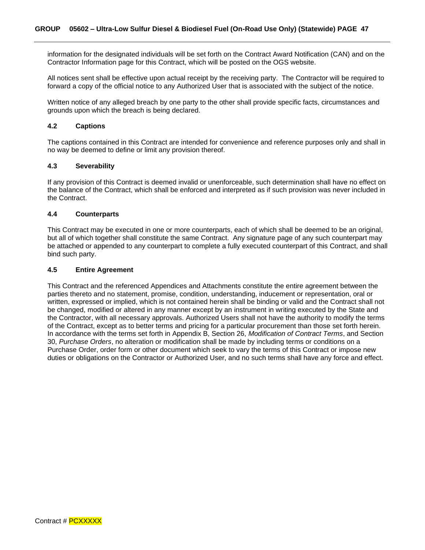information for the designated individuals will be set forth on the Contract Award Notification (CAN) and on the Contractor Information page for this Contract, which will be posted on the OGS website.

All notices sent shall be effective upon actual receipt by the receiving party. The Contractor will be required to forward a copy of the official notice to any Authorized User that is associated with the subject of the notice.

Written notice of any alleged breach by one party to the other shall provide specific facts, circumstances and grounds upon which the breach is being declared.

#### <span id="page-46-0"></span>**4.2 Captions**

The captions contained in this Contract are intended for convenience and reference purposes only and shall in no way be deemed to define or limit any provision thereof.

#### <span id="page-46-1"></span>**4.3 Severability**

If any provision of this Contract is deemed invalid or unenforceable, such determination shall have no effect on the balance of the Contract, which shall be enforced and interpreted as if such provision was never included in the Contract.

#### <span id="page-46-2"></span>**4.4 Counterparts**

This Contract may be executed in one or more counterparts, each of which shall be deemed to be an original, but all of which together shall constitute the same Contract. Any signature page of any such counterpart may be attached or appended to any counterpart to complete a fully executed counterpart of this Contract, and shall bind such party.

#### <span id="page-46-3"></span>**4.5 Entire Agreement**

This Contract and the referenced Appendices and Attachments constitute the entire agreement between the parties thereto and no statement, promise, condition, understanding, inducement or representation, oral or written, expressed or implied, which is not contained herein shall be binding or valid and the Contract shall not be changed, modified or altered in any manner except by an instrument in writing executed by the State and the Contractor, with all necessary approvals. Authorized Users shall not have the authority to modify the terms of the Contract, except as to better terms and pricing for a particular procurement than those set forth herein. In accordance with the terms set forth in Appendix B, Section 26, *Modification of Contract Terms*, and Section 30, *Purchase Orders*, no alteration or modification shall be made by including terms or conditions on a Purchase Order, order form or other document which seek to vary the terms of this Contract or impose new duties or obligations on the Contractor or Authorized User, and no such terms shall have any force and effect.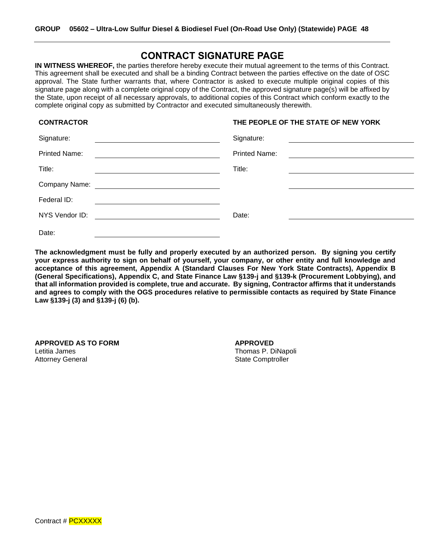### **CONTRACT SIGNATURE PAGE**

**IN WITNESS WHEREOF,** the parties therefore hereby execute their mutual agreement to the terms of this Contract*.*  This agreement shall be executed and shall be a binding Contract between the parties effective on the date of OSC approval. The State further warrants that, where Contractor is asked to execute multiple original copies of this signature page along with a complete original copy of the Contract, the approved signature page(s) will be affixed by the State, upon receipt of all necessary approvals, to additional copies of this Contract which conform exactly to the complete original copy as submitted by Contractor and executed simultaneously therewith.

### **CONTRACTOR THE PEOPLE OF THE STATE OF NEW YORK**

| Signature:           | Signature:                                         |
|----------------------|----------------------------------------------------|
| <b>Printed Name:</b> | <b>Printed Name:</b>                               |
| Title:               | Title:                                             |
| Company Name:        | <u> 1989 - John Stein, Amerikaansk politiker (</u> |
| Federal ID:          |                                                    |
| NYS Vendor ID:       | Date:                                              |
| Date:                |                                                    |

**The acknowledgment must be fully and properly executed by an authorized person. By signing you certify your express authority to sign on behalf of yourself, your company, or other entity and full knowledge and acceptance of this agreement, Appendix A (Standard Clauses For New York State Contracts), Appendix B (General Specifications), Appendix C, and State Finance Law §139-j and §139-k (Procurement Lobbying), and that all information provided is complete, true and accurate. By signing, Contractor affirms that it understands and agrees to comply with the OGS procedures relative to permissible contacts as required by State Finance Law §139-j (3) and §139-j (6) (b).** 

**APPROVED AS TO FORM APPROVED** Letitia James **Thomas P. Dinapoli Contract Contract Contract Contract Contract Contract Contract Contract Contract Contract Contract Contract Contract Contract Contract Contract Contract Contract Contract Contract Contra** Attorney General **Attorney General** State Comptroller